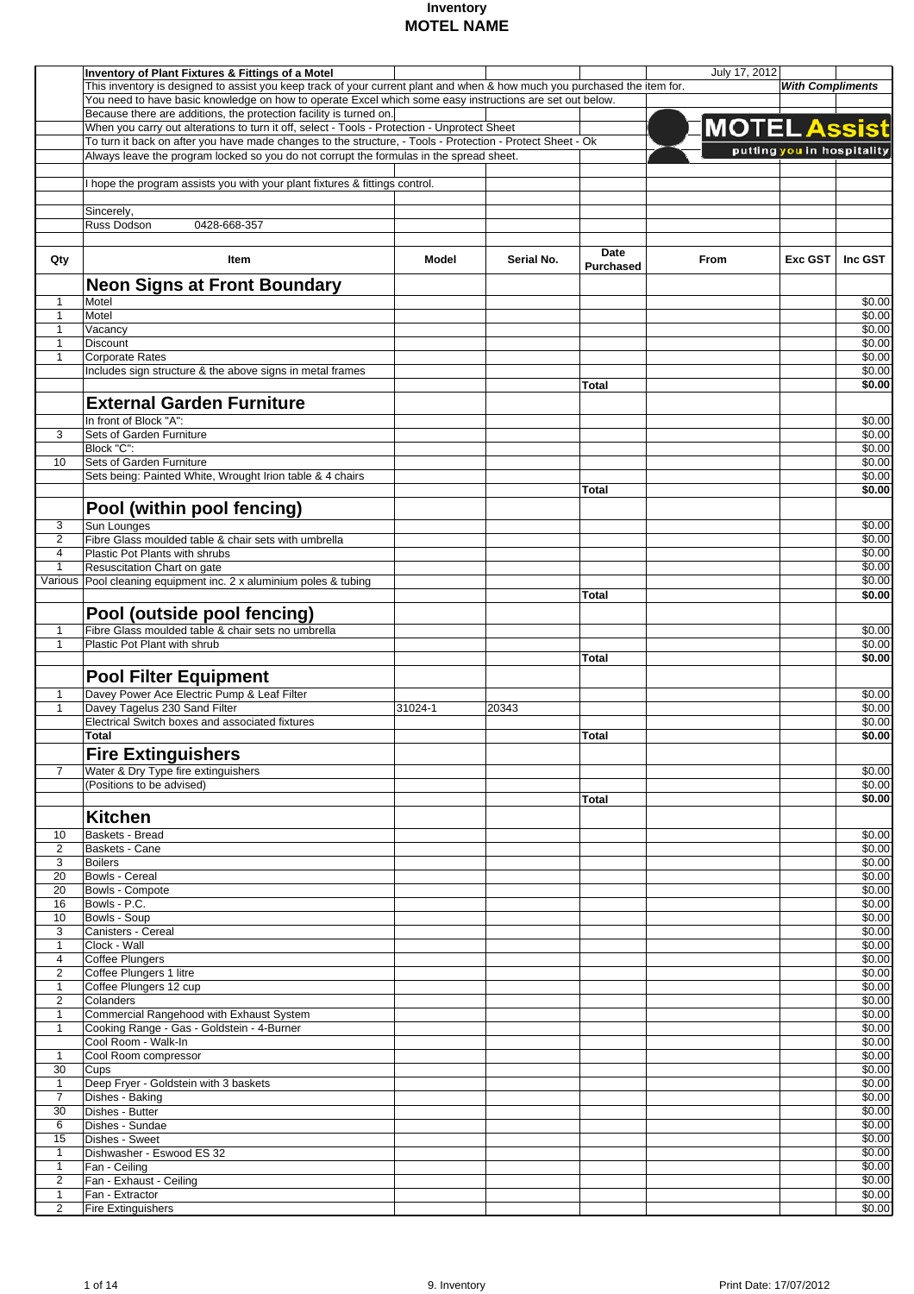|                | <b>Inventory of Plant Fixtures &amp; Fittings of a Motel</b>                                                              |         |            |                  | July 17, 2012       |                            |                |
|----------------|---------------------------------------------------------------------------------------------------------------------------|---------|------------|------------------|---------------------|----------------------------|----------------|
|                | This inventory is designed to assist you keep track of your current plant and when & how much you purchased the item for. |         |            |                  |                     | <b>With Compliments</b>    |                |
|                | You need to have basic knowledge on how to operate Excel which some easy instructions are set out below.                  |         |            |                  |                     |                            |                |
|                |                                                                                                                           |         |            |                  |                     |                            |                |
|                | Because there are additions, the protection facility is turned on.                                                        |         |            |                  |                     |                            |                |
|                | When you carry out alterations to turn it off, select - Tools - Protection - Unprotect Sheet                              |         |            |                  | <b>MOTEL Assist</b> |                            |                |
|                | To turn it back on after you have made changes to the structure, - Tools - Protection - Protect Sheet - Ok                |         |            |                  |                     | putting you in hospitality |                |
|                | Always leave the program locked so you do not corrupt the formulas in the spread sheet.                                   |         |            |                  |                     |                            |                |
|                |                                                                                                                           |         |            |                  |                     |                            |                |
|                | I hope the program assists you with your plant fixtures & fittings control.                                               |         |            |                  |                     |                            |                |
|                |                                                                                                                           |         |            |                  |                     |                            |                |
|                | Sincerely,                                                                                                                |         |            |                  |                     |                            |                |
|                | Russ Dodson<br>0428-668-357                                                                                               |         |            |                  |                     |                            |                |
|                |                                                                                                                           |         |            |                  |                     |                            |                |
|                |                                                                                                                           |         |            | Date             |                     |                            |                |
| Qty            | Item                                                                                                                      | Model   | Serial No. | <b>Purchased</b> | From                | Exc GST                    | Inc GST        |
|                |                                                                                                                           |         |            |                  |                     |                            |                |
|                | <b>Neon Signs at Front Boundary</b>                                                                                       |         |            |                  |                     |                            |                |
| 1              | Motel                                                                                                                     |         |            |                  |                     |                            | \$0.00         |
| $\mathbf{1}$   | Motel                                                                                                                     |         |            |                  |                     |                            | \$0.00         |
| 1              | Vacancy                                                                                                                   |         |            |                  |                     |                            | \$0.00         |
| 1              | <b>Discount</b>                                                                                                           |         |            |                  |                     |                            | \$0.00         |
| $\mathbf{1}$   | <b>Corporate Rates</b>                                                                                                    |         |            |                  |                     |                            | \$0.00         |
|                | Includes sign structure & the above signs in metal frames                                                                 |         |            |                  |                     |                            | \$0.00         |
|                |                                                                                                                           |         |            | Total            |                     |                            | \$0.00         |
|                |                                                                                                                           |         |            |                  |                     |                            |                |
|                | <b>External Garden Furniture</b>                                                                                          |         |            |                  |                     |                            |                |
|                | In front of Block "A":                                                                                                    |         |            |                  |                     |                            | \$0.00         |
| 3              | Sets of Garden Furniture                                                                                                  |         |            |                  |                     |                            | \$0.00         |
|                | Block "C":                                                                                                                |         |            |                  |                     |                            | \$0.00         |
| 10             | Sets of Garden Furniture                                                                                                  |         |            |                  |                     |                            | \$0.00         |
|                | Sets being: Painted White, Wrought Irion table & 4 chairs                                                                 |         |            |                  |                     |                            | \$0.00         |
|                |                                                                                                                           |         |            | Total            |                     |                            | \$0.00         |
|                |                                                                                                                           |         |            |                  |                     |                            |                |
|                | Pool (within pool fencing)                                                                                                |         |            |                  |                     |                            |                |
| 3              | Sun Lounges                                                                                                               |         |            |                  |                     |                            | \$0.00         |
| $\overline{c}$ | Fibre Glass moulded table & chair sets with umbrella                                                                      |         |            |                  |                     |                            | \$0.00         |
| 4              | Plastic Pot Plants with shrubs                                                                                            |         |            |                  |                     |                            | \$0.00         |
| $\mathbf{1}$   | Resuscitation Chart on gate                                                                                               |         |            |                  |                     |                            | \$0.00         |
|                | Various Pool cleaning equipment inc. 2 x aluminium poles & tubing                                                         |         |            |                  |                     |                            | \$0.00         |
|                |                                                                                                                           |         |            |                  |                     |                            | \$0.00         |
|                |                                                                                                                           |         |            | Total            |                     |                            |                |
|                | Pool (outside pool fencing)                                                                                               |         |            |                  |                     |                            |                |
| 1              | Fibre Glass moulded table & chair sets no umbrella                                                                        |         |            |                  |                     |                            | \$0.00         |
| $\mathbf{1}$   | Plastic Pot Plant with shrub                                                                                              |         |            |                  |                     |                            | \$0.00         |
|                |                                                                                                                           |         |            | Total            |                     |                            | \$0.00         |
|                |                                                                                                                           |         |            |                  |                     |                            |                |
|                | Pool Filter Equipment                                                                                                     |         |            |                  |                     |                            |                |
| 1              | Davey Power Ace Electric Pump & Leaf Filter                                                                               |         |            |                  |                     |                            | \$0.00         |
| 1              | Davey Tagelus 230 Sand Filter                                                                                             | 31024-1 | 20343      |                  |                     |                            | \$0.00         |
|                | Electrical Switch boxes and associated fixtures                                                                           |         |            |                  |                     |                            | \$0.00         |
|                | Total                                                                                                                     |         |            | Total            |                     |                            | \$0.00         |
|                |                                                                                                                           |         |            |                  |                     |                            |                |
|                | <b>Fire Extinguishers</b>                                                                                                 |         |            |                  |                     |                            |                |
| $\overline{7}$ | Water & Dry Type fire extinguishers                                                                                       |         |            |                  |                     |                            | $\sqrt{$0.00}$ |
|                | (Positions to be advised)                                                                                                 |         |            |                  |                     |                            | \$0.00         |
|                |                                                                                                                           |         |            | Total            |                     |                            | \$0.00         |
|                |                                                                                                                           |         |            |                  |                     |                            |                |
|                | <b>Kitchen</b>                                                                                                            |         |            |                  |                     |                            |                |
| 10             | <b>Baskets - Bread</b>                                                                                                    |         |            |                  |                     |                            | \$0.00         |
| $\overline{2}$ | Baskets - Cane                                                                                                            |         |            |                  |                     |                            | \$0.00         |
| 3              | <b>Boilers</b>                                                                                                            |         |            |                  |                     |                            | \$0.00         |
| 20             | Bowls - Cereal                                                                                                            |         |            |                  |                     |                            | \$0.00         |
| 20             | Bowls - Compote                                                                                                           |         |            |                  |                     |                            | \$0.00         |
| 16             | Bowls - P.C.                                                                                                              |         |            |                  |                     |                            | \$0.00         |
| 10             | Bowls - Soup                                                                                                              |         |            |                  |                     |                            | \$0.00         |
| 3              | Canisters - Cereal                                                                                                        |         |            |                  |                     |                            | \$0.00         |
| $\mathbf{1}$   | Clock - Wall                                                                                                              |         |            |                  |                     |                            | \$0.00         |
| $\overline{4}$ | <b>Coffee Plungers</b>                                                                                                    |         |            |                  |                     |                            | \$0.00         |
| $\overline{2}$ | Coffee Plungers 1 litre                                                                                                   |         |            |                  |                     |                            | \$0.00         |
| $\mathbf{1}$   | Coffee Plungers 12 cup                                                                                                    |         |            |                  |                     |                            | \$0.00         |
| 2              | Colanders                                                                                                                 |         |            |                  |                     |                            | \$0.00         |
|                |                                                                                                                           |         |            |                  |                     |                            |                |
| 1              | Commercial Rangehood with Exhaust System                                                                                  |         |            |                  |                     |                            | \$0.00         |
| $\mathbf{1}$   | Cooking Range - Gas - Goldstein - 4-Burner                                                                                |         |            |                  |                     |                            | \$0.00         |
|                | Cool Room - Walk-In                                                                                                       |         |            |                  |                     |                            | \$0.00         |
| $\mathbf{1}$   | Cool Room compressor                                                                                                      |         |            |                  |                     |                            | \$0.00         |
| 30             | Cups                                                                                                                      |         |            |                  |                     |                            | \$0.00         |
| $\mathbf{1}$   | Deep Fryer - Goldstein with 3 baskets                                                                                     |         |            |                  |                     |                            | \$0.00         |
| $\overline{7}$ | Dishes - Baking                                                                                                           |         |            |                  |                     |                            | \$0.00         |
| 30             | Dishes - Butter                                                                                                           |         |            |                  |                     |                            | \$0.00         |
| 6              | Dishes - Sundae                                                                                                           |         |            |                  |                     |                            | \$0.00         |
| 15             | Dishes - Sweet                                                                                                            |         |            |                  |                     |                            | \$0.00         |
| $\mathbf{1}$   | Dishwasher - Eswood ES 32                                                                                                 |         |            |                  |                     |                            | \$0.00         |
| $\mathbf{1}$   | Fan - Ceiling                                                                                                             |         |            |                  |                     |                            | \$0.00         |
| $\overline{2}$ | Fan - Exhaust - Ceiling                                                                                                   |         |            |                  |                     |                            | \$0.00         |
| $\mathbf{1}$   | Fan - Extractor                                                                                                           |         |            |                  |                     |                            | \$0.00         |
| $\overline{2}$ | <b>Fire Extinguishers</b>                                                                                                 |         |            |                  |                     |                            | \$0.00         |
|                |                                                                                                                           |         |            |                  |                     |                            |                |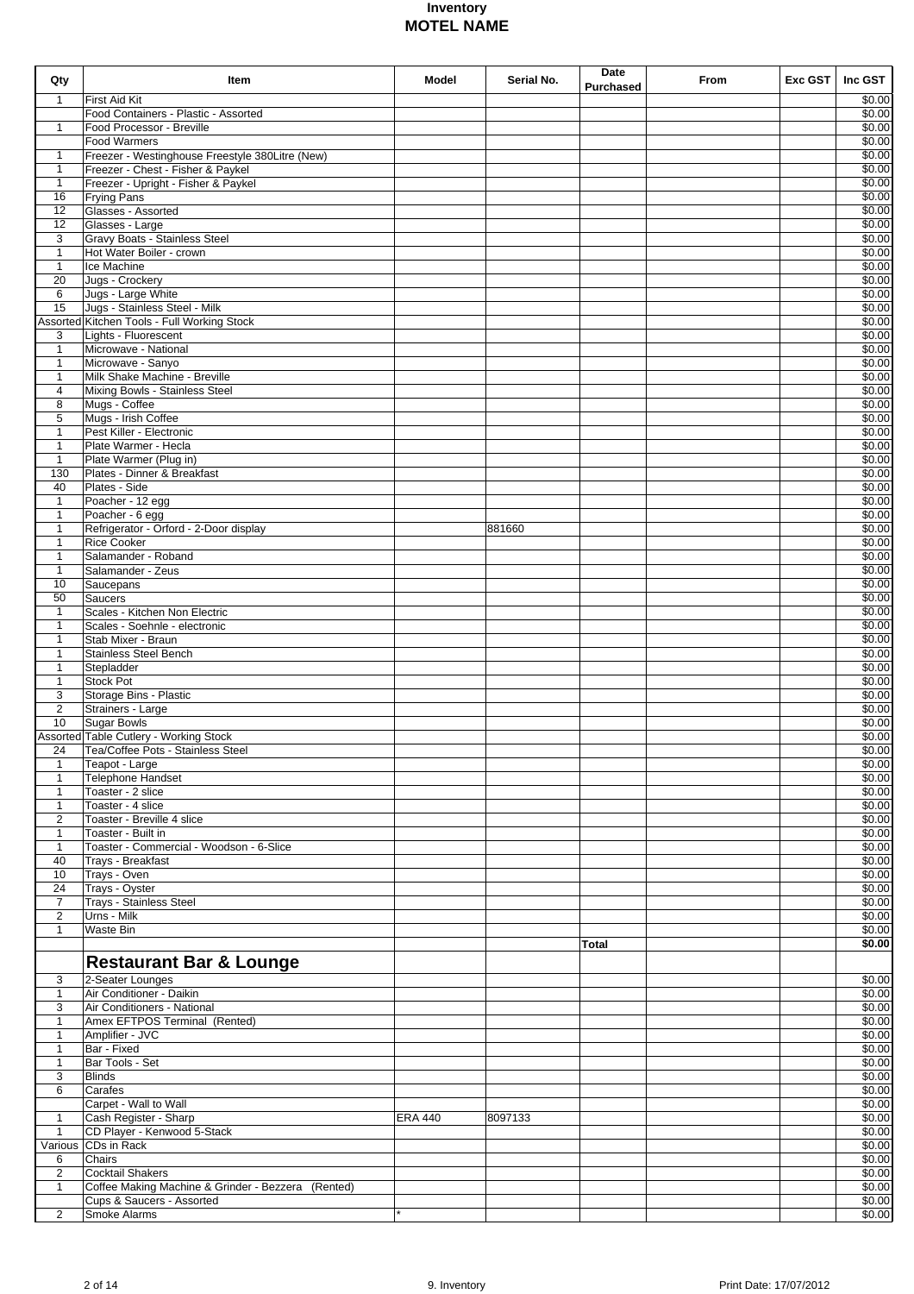| Qty                | Item                                                      | Model          | Serial No. | Date<br>Purchased | From | $Exc$ GST | Inc GST          |
|--------------------|-----------------------------------------------------------|----------------|------------|-------------------|------|-----------|------------------|
| 1                  | <b>First Aid Kit</b>                                      |                |            |                   |      |           | \$0.00           |
|                    | Food Containers - Plastic - Assorted                      |                |            |                   |      |           | \$0.00           |
| $\mathbf{1}$       | Food Processor - Breville                                 |                |            |                   |      |           | \$0.00           |
|                    | <b>Food Warmers</b>                                       |                |            |                   |      |           | \$0.00           |
| 1                  | Freezer - Westinghouse Freestyle 380Litre (New)           |                |            |                   |      |           | \$0.00           |
| 1                  | Freezer - Chest - Fisher & Paykel                         |                |            |                   |      |           | \$0.00<br>\$0.00 |
| $\mathbf{1}$<br>16 | Freezer - Upright - Fisher & Paykel<br><b>Frying Pans</b> |                |            |                   |      |           | \$0.00           |
| 12                 | Glasses - Assorted                                        |                |            |                   |      |           | \$0.00           |
| 12                 | Glasses - Large                                           |                |            |                   |      |           | \$0.00           |
| 3                  | Gravy Boats - Stainless Steel                             |                |            |                   |      |           | \$0.00           |
| $\mathbf{1}$       | Hot Water Boiler - crown                                  |                |            |                   |      |           | \$0.00           |
| $\mathbf{1}$       | Ice Machine                                               |                |            |                   |      |           | \$0.00           |
| 20                 | Jugs - Crockery                                           |                |            |                   |      |           | \$0.00           |
| 6                  | Jugs - Large White                                        |                |            |                   |      |           | \$0.00           |
| 15                 | Jugs - Stainless Steel - Milk                             |                |            |                   |      |           | \$0.00           |
|                    | Assorted Kitchen Tools - Full Working Stock               |                |            |                   |      |           | \$0.00           |
| 3                  | Lights - Fluorescent                                      |                |            |                   |      |           | \$0.00           |
| $\mathbf{1}$       | Microwave - National                                      |                |            |                   |      |           | \$0.00           |
| $\mathbf{1}$       | Microwave - Sanyo                                         |                |            |                   |      |           | \$0.00           |
| $\mathbf{1}$       | Milk Shake Machine - Breville                             |                |            |                   |      |           | \$0.00           |
| 4                  | Mixing Bowls - Stainless Steel                            |                |            |                   |      |           | \$0.00           |
| 8                  | Mugs - Coffee                                             |                |            |                   |      |           | \$0.00           |
| 5                  | Mugs - Irish Coffee                                       |                |            |                   |      |           | \$0.00           |
| $\mathbf{1}$       | Pest Killer - Electronic                                  |                |            |                   |      |           | \$0.00           |
| $\mathbf{1}$       | Plate Warmer - Hecla                                      |                |            |                   |      |           | \$0.00           |
| $\mathbf{1}$       | Plate Warmer (Plug in)<br>Plates - Dinner & Breakfast     |                |            |                   |      |           | \$0.00           |
| 130<br>40          | Plates - Side                                             |                |            |                   |      |           | \$0.00<br>\$0.00 |
| 1                  | Poacher - 12 egg                                          |                |            |                   |      |           | \$0.00           |
| 1                  | Poacher - 6 egg                                           |                |            |                   |      |           | \$0.00           |
| $\mathbf{1}$       | Refrigerator - Orford - 2-Door display                    |                | 881660     |                   |      |           | \$0.00           |
| $\mathbf{1}$       | <b>Rice Cooker</b>                                        |                |            |                   |      |           | \$0.00           |
| $\mathbf{1}$       | Salamander - Roband                                       |                |            |                   |      |           | \$0.00           |
| $\mathbf{1}$       | Salamander - Zeus                                         |                |            |                   |      |           | \$0.00           |
| 10                 | Saucepans                                                 |                |            |                   |      |           | \$0.00           |
| 50                 | <b>Saucers</b>                                            |                |            |                   |      |           | \$0.00           |
| $\mathbf{1}$       | Scales - Kitchen Non Electric                             |                |            |                   |      |           | \$0.00           |
| 1                  | Scales - Soehnle - electronic                             |                |            |                   |      |           | \$0.00           |
| $\mathbf{1}$       | Stab Mixer - Braun                                        |                |            |                   |      |           | \$0.00           |
| $\mathbf{1}$       | Stainless Steel Bench                                     |                |            |                   |      |           | \$0.00           |
| $\mathbf{1}$       | Stepladder                                                |                |            |                   |      |           | \$0.00           |
| $\mathbf{1}$       | <b>Stock Pot</b>                                          |                |            |                   |      |           | \$0.00           |
| 3                  | Storage Bins - Plastic                                    |                |            |                   |      |           | \$0.00           |
| $\overline{2}$     | Strainers - Large                                         |                |            |                   |      |           | \$0.00           |
| 10                 | <b>Sugar Bowls</b>                                        |                |            |                   |      |           | \$0.00           |
|                    | Assorted Table Cutlery - Working Stock                    |                |            |                   |      |           | \$0.00           |
| 24                 | Tea/Coffee Pots - Stainless Steel                         |                |            |                   |      |           | \$0.00           |
| $\mathbf{1}$       | Teapot - Large                                            |                |            |                   |      |           | \$0.00           |
| $\mathbf{1}$       | Telephone Handset                                         |                |            |                   |      |           | \$0.00           |
| $\mathbf{1}$       | Toaster - 2 slice                                         |                |            |                   |      |           | \$0.00           |
| $\mathbf{1}$<br>2  | Toaster - 4 slice<br>Toaster - Breville 4 slice           |                |            |                   |      |           | \$0.00<br>\$0.00 |
| $\mathbf{1}$       | Toaster - Built in                                        |                |            |                   |      |           | \$0.00           |
| $\mathbf{1}$       | Toaster - Commercial - Woodson - 6-Slice                  |                |            |                   |      |           | \$0.00           |
| 40                 | Trays - Breakfast                                         |                |            |                   |      |           | \$0.00           |
| 10                 | Trays - Oven                                              |                |            |                   |      |           | \$0.00           |
| 24                 | Trays - Oyster                                            |                |            |                   |      |           | \$0.00           |
| $\overline{7}$     | <b>Trays - Stainless Steel</b>                            |                |            |                   |      |           | \$0.00           |
| $\overline{2}$     | Urns - Milk                                               |                |            |                   |      |           | \$0.00           |
| $\mathbf{1}$       | Waste Bin                                                 |                |            |                   |      |           | \$0.00           |
|                    |                                                           |                |            | Total             |      |           | 50.00            |
|                    | <b>Restaurant Bar &amp; Lounge</b>                        |                |            |                   |      |           |                  |
|                    |                                                           |                |            |                   |      |           | \$0.00           |
| 3<br>$\mathbf{1}$  | 2-Seater Lounges<br>Air Conditioner - Daikin              |                |            |                   |      |           | \$0.00           |
| 3                  | Air Conditioners - National                               |                |            |                   |      |           | \$0.00           |
| $\mathbf{1}$       | Amex EFTPOS Terminal (Rented)                             |                |            |                   |      |           | \$0.00           |
| $\mathbf{1}$       | Amplifier - JVC                                           |                |            |                   |      |           | \$0.00           |
| $\mathbf{1}$       | Bar - Fixed                                               |                |            |                   |      |           | \$0.00           |
| $\mathbf{1}$       | Bar Tools - Set                                           |                |            |                   |      |           | \$0.00           |
| 3                  | <b>Blinds</b>                                             |                |            |                   |      |           | \$0.00           |
| 6                  | Carafes                                                   |                |            |                   |      |           | \$0.00           |
|                    | Carpet - Wall to Wall                                     |                |            |                   |      |           | \$0.00           |
| 1                  | Cash Register - Sharp                                     | <b>ERA 440</b> | 8097133    |                   |      |           | \$0.00           |
| $\mathbf{1}$       | CD Player - Kenwood 5-Stack                               |                |            |                   |      |           | \$0.00           |
|                    | Various CDs in Rack                                       |                |            |                   |      |           | \$0.00           |
| 6                  | Chairs                                                    |                |            |                   |      |           | $\sqrt{$0.00}$   |
| $\overline{2}$     | <b>Cocktail Shakers</b>                                   |                |            |                   |      |           | \$0.00           |
| $\mathbf{1}$       | Coffee Making Machine & Grinder - Bezzera (Rented)        |                |            |                   |      |           | \$0.00           |
|                    | Cups & Saucers - Assorted                                 |                |            |                   |      |           | \$0.00           |
| 2                  | Smoke Alarms                                              |                |            |                   |      |           | \$0.00           |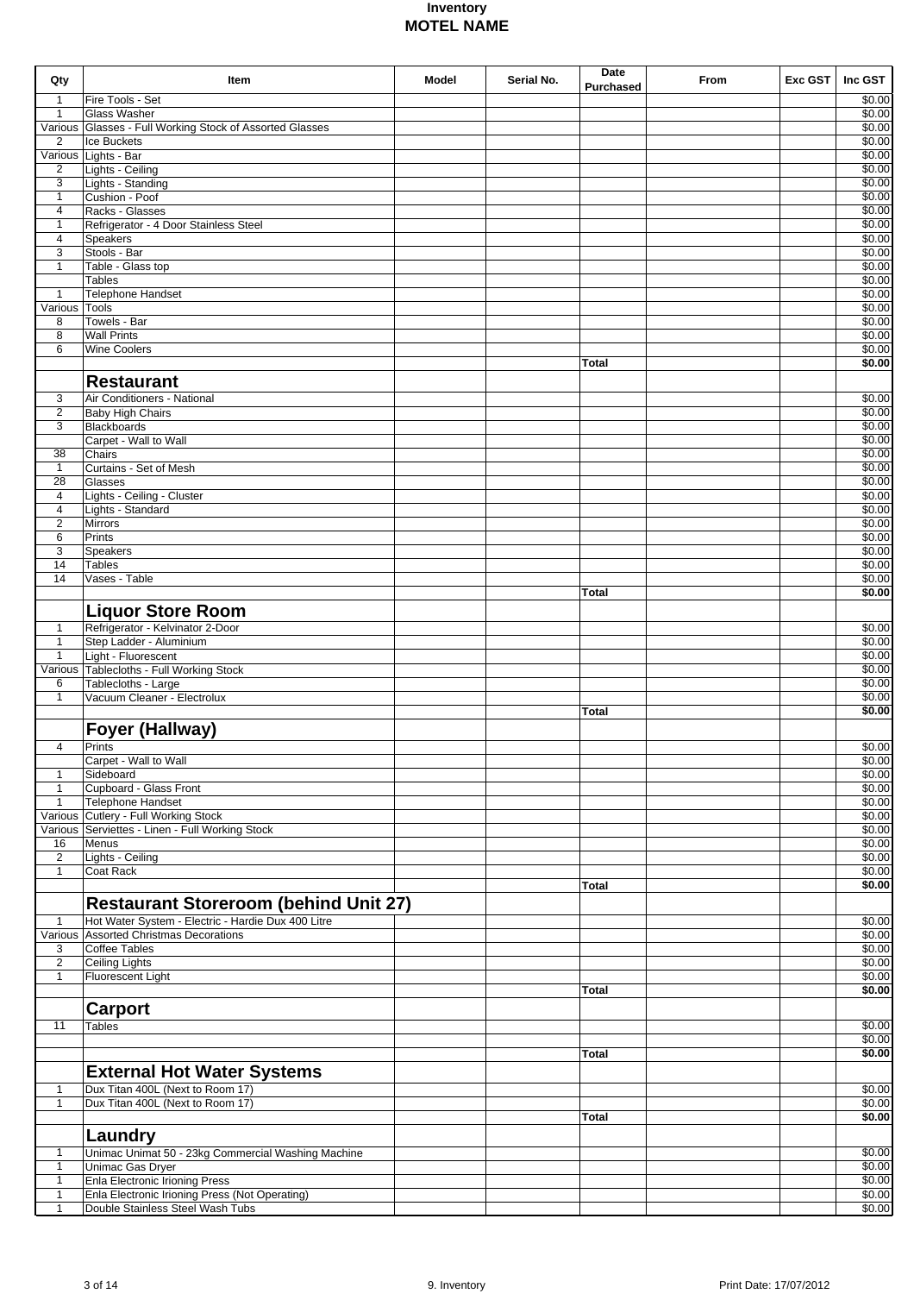| Qty                            | Item                                                                                    | Model | Serial No. | Date             | From | Exc GST | Inc GST          |
|--------------------------------|-----------------------------------------------------------------------------------------|-------|------------|------------------|------|---------|------------------|
| $\mathbf{1}$                   | Fire Tools - Set                                                                        |       |            | <b>Purchased</b> |      |         | \$0.00           |
| $\mathbf{1}$                   | <b>Glass Washer</b>                                                                     |       |            |                  |      |         | \$0.00           |
|                                | Various Glasses - Full Working Stock of Assorted Glasses                                |       |            |                  |      |         | \$0.00           |
| $\overline{2}$                 | Ice Buckets                                                                             |       |            |                  |      |         | \$0.00           |
|                                | Various Lights - Bar                                                                    |       |            |                  |      |         | \$0.00           |
| $\overline{2}$                 | Lights - Ceiling                                                                        |       |            |                  |      |         | \$0.00           |
| 3                              | Lights - Standing                                                                       |       |            |                  |      |         | \$0.00           |
| $\mathbf{1}$                   | Cushion - Poof<br>Racks - Glasses                                                       |       |            |                  |      |         | \$0.00           |
| $\overline{4}$<br>$\mathbf{1}$ | Refrigerator - 4 Door Stainless Steel                                                   |       |            |                  |      |         | \$0.00<br>\$0.00 |
| $\overline{4}$                 | <b>Speakers</b>                                                                         |       |            |                  |      |         | \$0.00           |
| 3                              | Stools - Bar                                                                            |       |            |                  |      |         | \$0.00           |
| $\mathbf{1}$                   | Table - Glass top                                                                       |       |            |                  |      |         | \$0.00           |
|                                | <b>Tables</b>                                                                           |       |            |                  |      |         | \$0.00           |
| $\mathbf{1}$                   | Telephone Handset                                                                       |       |            |                  |      |         | \$0.00           |
| Various Tools                  |                                                                                         |       |            |                  |      |         | \$0.00           |
| 8                              | Towels - Bar                                                                            |       |            |                  |      |         | \$0.00           |
| 8                              | <b>Wall Prints</b>                                                                      |       |            |                  |      |         | \$0.00           |
| 6                              | <b>Wine Coolers</b>                                                                     |       |            | Total            |      |         | \$0.00<br>\$0.00 |
|                                |                                                                                         |       |            |                  |      |         |                  |
|                                | <b>Restaurant</b>                                                                       |       |            |                  |      |         |                  |
| 3                              | Air Conditioners - National                                                             |       |            |                  |      |         | \$0.00           |
| $\overline{2}$                 | <b>Baby High Chairs</b>                                                                 |       |            |                  |      |         | \$0.00           |
| 3                              | Blackboards                                                                             |       |            |                  |      |         | \$0.00           |
|                                | Carpet - Wall to Wall                                                                   |       |            |                  |      |         | \$0.00           |
| 38<br>$\mathbf{1}$             | Chairs<br>Curtains - Set of Mesh                                                        |       |            |                  |      |         | \$0.00<br>\$0.00 |
| 28                             | Glasses                                                                                 |       |            |                  |      |         | \$0.00           |
| $\overline{4}$                 | Lights - Ceiling - Cluster                                                              |       |            |                  |      |         | \$0.00           |
| $\overline{4}$                 | Lights - Standard                                                                       |       |            |                  |      |         | \$0.00           |
| $\overline{2}$                 | <b>Mirrors</b>                                                                          |       |            |                  |      |         | \$0.00           |
| 6                              | Prints                                                                                  |       |            |                  |      |         | \$0.00           |
| 3                              | Speakers                                                                                |       |            |                  |      |         | \$0.00           |
| 14                             | <b>Tables</b>                                                                           |       |            |                  |      |         | \$0.00           |
| 14                             | Vases - Table                                                                           |       |            |                  |      |         | \$0.00           |
|                                |                                                                                         |       |            | <b>Total</b>     |      |         | \$0.00           |
|                                | <b>Liquor Store Room</b>                                                                |       |            |                  |      |         |                  |
| $\mathbf{1}$                   | Refrigerator - Kelvinator 2-Door                                                        |       |            |                  |      |         | \$0.00           |
| $\mathbf{1}$                   | Step Ladder - Aluminium                                                                 |       |            |                  |      |         | \$0.00           |
| $\mathbf{1}$                   | Light - Fluorescent                                                                     |       |            |                  |      |         | \$0.00           |
|                                | Various Tablecloths - Full Working Stock                                                |       |            |                  |      |         | \$0.00           |
| 6                              | Tablecloths - Large                                                                     |       |            |                  |      |         | \$0.00           |
| $\mathbf{1}$                   | Vacuum Cleaner - Electrolux                                                             |       |            |                  |      |         | \$0.00           |
|                                |                                                                                         |       |            | <b>Total</b>     |      |         | \$0.00           |
|                                | <b>Foyer (Hallway)</b>                                                                  |       |            |                  |      |         |                  |
| $\overline{4}$                 | Prints                                                                                  |       |            |                  |      |         | \$0.00           |
|                                | Carpet - Wall to Wall                                                                   |       |            |                  |      |         | \$0.00           |
| $\mathbf{1}$                   | Sideboard                                                                               |       |            |                  |      |         | \$0.00           |
| $\mathbf{1}$                   | Cupboard - Glass Front                                                                  |       |            |                  |      |         | \$0.00           |
| $\mathbf{1}$                   | Telephone Handset                                                                       |       |            |                  |      |         | \$0.00           |
|                                | Various Cutlery - Full Working Stock<br>Various Serviettes - Linen - Full Working Stock |       |            |                  |      |         | \$0.00<br>\$0.00 |
| 16                             | Menus                                                                                   |       |            |                  |      |         | \$0.00           |
| $\overline{2}$                 | Lights - Ceiling                                                                        |       |            |                  |      |         | \$0.00           |
| $\mathbf{1}$                   | Coat Rack                                                                               |       |            |                  |      |         | \$0.00           |
|                                |                                                                                         |       |            | Total            |      |         | \$0.00           |
|                                | <b>Restaurant Storeroom (behind Unit 27)</b>                                            |       |            |                  |      |         |                  |
|                                | Hot Water System - Electric - Hardie Dux 400 Litre                                      |       |            |                  |      |         |                  |
| $\mathbf{1}$                   | Various Assorted Christmas Decorations                                                  |       |            |                  |      |         | \$0.00<br>\$0.00 |
| 3                              | <b>Coffee Tables</b>                                                                    |       |            |                  |      |         | \$0.00           |
| $\overline{2}$                 | <b>Ceiling Lights</b>                                                                   |       |            |                  |      |         | \$0.00           |
| $\mathbf{1}$                   | Fluorescent Light                                                                       |       |            |                  |      |         | \$0.00           |
|                                |                                                                                         |       |            | Total            |      |         | \$0.00           |
|                                | <b>Carport</b>                                                                          |       |            |                  |      |         |                  |
| 11                             | <b>Tables</b>                                                                           |       |            |                  |      |         | \$0.00           |
|                                |                                                                                         |       |            |                  |      |         | \$0.00           |
|                                |                                                                                         |       |            | Total            |      |         | \$0.00           |
|                                |                                                                                         |       |            |                  |      |         |                  |
|                                | <b>External Hot Water Systems</b>                                                       |       |            |                  |      |         |                  |
| $\mathbf{1}$<br>$\mathbf{1}$   | Dux Titan 400L (Next to Room 17)                                                        |       |            |                  |      |         | \$0.00           |
|                                | Dux Titan 400L (Next to Room 17)                                                        |       |            | Total            |      |         | \$0.00<br>\$0.00 |
|                                |                                                                                         |       |            |                  |      |         |                  |
|                                | Laundry                                                                                 |       |            |                  |      |         |                  |
| $\mathbf{1}$                   | Unimac Unimat 50 - 23kg Commercial Washing Machine                                      |       |            |                  |      |         | \$0.00           |
| $\mathbf{1}$                   | Unimac Gas Dryer                                                                        |       |            |                  |      |         | \$0.00           |
| $\mathbf{1}$                   | Enla Electronic Irioning Press                                                          |       |            |                  |      |         | \$0.00           |
| $\mathbf{1}$                   | Enla Electronic Irioning Press (Not Operating)                                          |       |            |                  |      |         | \$0.00           |
| $\mathbf 1$                    | Double Stainless Steel Wash Tubs                                                        |       |            |                  |      |         | \$0.00           |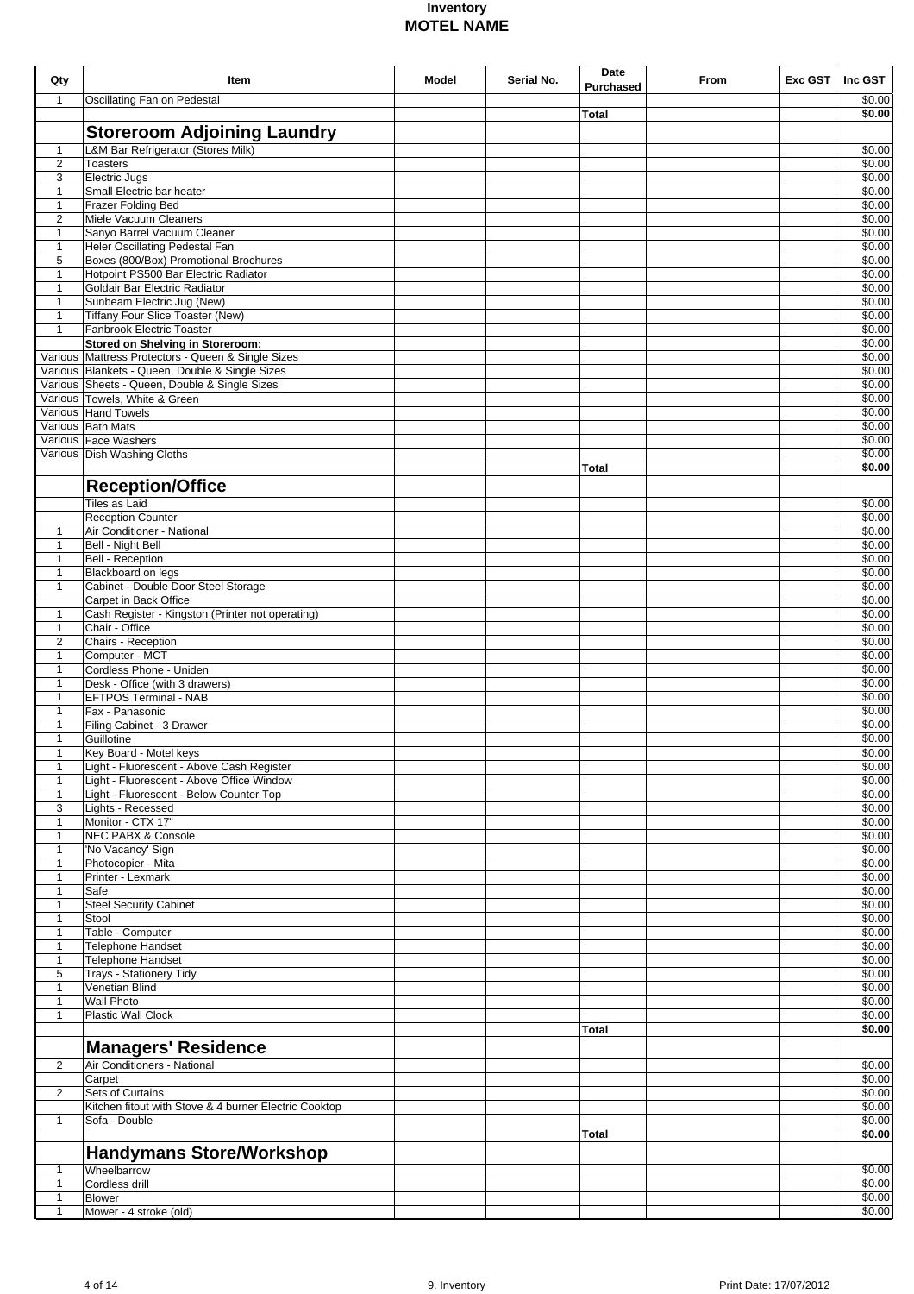|                              |                                                                               |       |            | Date             |      |         |                   |
|------------------------------|-------------------------------------------------------------------------------|-------|------------|------------------|------|---------|-------------------|
| Qty                          | <b>Item</b>                                                                   | Model | Serial No. | <b>Purchased</b> | From | Exc GST | Inc GST           |
| $\mathbf{1}$                 | Oscillating Fan on Pedestal                                                   |       |            |                  |      |         | \$0.00            |
|                              |                                                                               |       |            | Total            |      |         | \$0.00            |
|                              | <b>Storeroom Adjoining Laundry</b>                                            |       |            |                  |      |         |                   |
|                              | L&M Bar Refrigerator (Stores Milk)                                            |       |            |                  |      |         |                   |
| $\mathbf{1}$                 |                                                                               |       |            |                  |      |         | \$0.00            |
| $\overline{2}$               | <b>Toasters</b>                                                               |       |            |                  |      |         | \$0.00            |
| 3                            | Electric Jugs                                                                 |       |            |                  |      |         | \$0.00            |
| $\mathbf{1}$                 | Small Electric bar heater                                                     |       |            |                  |      |         | \$0.00            |
| $\mathbf{1}$                 | Frazer Folding Bed                                                            |       |            |                  |      |         | \$0.00            |
| $\overline{2}$               | Miele Vacuum Cleaners                                                         |       |            |                  |      |         | \$0.00            |
| $\mathbf{1}$                 | Sanyo Barrel Vacuum Cleaner                                                   |       |            |                  |      |         | \$0.00            |
| $\mathbf{1}$                 | Heler Oscillating Pedestal Fan                                                |       |            |                  |      |         | \$0.00            |
| 5                            | Boxes (800/Box) Promotional Brochures<br>Hotpoint PS500 Bar Electric Radiator |       |            |                  |      |         | \$0.00            |
| $\mathbf{1}$                 |                                                                               |       |            |                  |      |         | \$0.00            |
| $\mathbf{1}$                 | Goldair Bar Electric Radiator                                                 |       |            |                  |      |         | \$0.00            |
| $\mathbf{1}$                 | Sunbeam Electric Jug (New)                                                    |       |            |                  |      |         | \$0.00            |
| $\mathbf{1}$<br>$\mathbf{1}$ | Tiffany Four Slice Toaster (New)<br>Fanbrook Electric Toaster                 |       |            |                  |      |         | \$0.00            |
|                              |                                                                               |       |            |                  |      |         | \$0.00            |
|                              | <b>Stored on Shelving in Storeroom:</b>                                       |       |            |                  |      |         | \$0.00            |
|                              | Various Mattress Protectors - Queen & Single Sizes                            |       |            |                  |      |         | \$0.00            |
|                              | Various Blankets - Queen, Double & Single Sizes                               |       |            |                  |      |         | \$0.00            |
|                              | Various Sheets - Queen, Double & Single Sizes                                 |       |            |                  |      |         | \$0.00            |
|                              | Various Towels, White & Green                                                 |       |            |                  |      |         | \$0.00            |
|                              | Various Hand Towels                                                           |       |            |                  |      |         | \$0.00            |
|                              | Various Bath Mats                                                             |       |            |                  |      |         | \$0.00            |
|                              | Various Face Washers                                                          |       |            |                  |      |         | \$0.00            |
|                              | Various Dish Washing Cloths                                                   |       |            |                  |      |         | \$0.00            |
|                              |                                                                               |       |            | <b>Total</b>     |      |         | \$0.00            |
|                              | <b>Reception/Office</b>                                                       |       |            |                  |      |         |                   |
|                              | Tiles as Laid                                                                 |       |            |                  |      |         | \$0.00            |
|                              | <b>Reception Counter</b>                                                      |       |            |                  |      |         | \$0.00            |
| 1                            | Air Conditioner - National                                                    |       |            |                  |      |         | \$0.00            |
| 1                            | Bell - Night Bell                                                             |       |            |                  |      |         | \$0.00            |
| 1                            | <b>Bell - Reception</b>                                                       |       |            |                  |      |         | \$0.00            |
| 1                            | Blackboard on legs                                                            |       |            |                  |      |         | \$0.00            |
| $\mathbf{1}$                 | Cabinet - Double Door Steel Storage                                           |       |            |                  |      |         | \$0.00            |
|                              | Carpet in Back Office                                                         |       |            |                  |      |         | \$0.00            |
| 1                            | Cash Register - Kingston (Printer not operating)                              |       |            |                  |      |         | \$0.00            |
| 1                            | Chair - Office                                                                |       |            |                  |      |         | \$0.00            |
| $\overline{2}$               | Chairs - Reception                                                            |       |            |                  |      |         | \$0.00            |
| 1                            | Computer - MCT                                                                |       |            |                  |      |         | $\frac{1}{30.00}$ |
| 1                            | Cordless Phone - Uniden                                                       |       |            |                  |      |         | \$0.00            |
| $\mathbf{1}$                 | Desk - Office (with 3 drawers)                                                |       |            |                  |      |         | \$0.00            |
| $\mathbf{1}$                 | <b>EFTPOS Terminal - NAB</b>                                                  |       |            |                  |      |         | \$0.00            |
| 1                            | Fax - Panasonic                                                               |       |            |                  |      |         | \$0.00            |
| $\mathbf{1}$                 | Filing Cabinet - 3 Drawer                                                     |       |            |                  |      |         | \$0.00            |
| $\mathbf{1}$                 | Guillotine                                                                    |       |            |                  |      |         | \$0.00            |
| $\mathbf{1}$                 | Key Board - Motel keys                                                        |       |            |                  |      |         | \$0.00            |
| 1                            | Light - Fluorescent - Above Cash Register                                     |       |            |                  |      |         | \$0.00            |
| $\mathbf{1}$                 | Light - Fluorescent - Above Office Window                                     |       |            |                  |      |         | \$0.00            |
| $\mathbf{1}$                 | Light - Fluorescent - Below Counter Top                                       |       |            |                  |      |         | \$0.00            |
| 3                            | Lights - Recessed                                                             |       |            |                  |      |         | \$0.00            |
| $\mathbf{1}$                 | Monitor - CTX 17"                                                             |       |            |                  |      |         | \$0.00            |
| 1                            | <b>NEC PABX &amp; Console</b>                                                 |       |            |                  |      |         | \$0.00            |
| $\mathbf{1}$                 | 'No Vacancy' Sign                                                             |       |            |                  |      |         | \$0.00            |
| $\mathbf{1}$                 | Photocopier - Mita                                                            |       |            |                  |      |         | \$0.00            |
| $\mathbf{1}$                 | Printer - Lexmark                                                             |       |            |                  |      |         | \$0.00            |
| $\mathbf{1}$                 | Safe                                                                          |       |            |                  |      |         | \$0.00            |
| $\mathbf{1}$                 | <b>Steel Security Cabinet</b>                                                 |       |            |                  |      |         | \$0.00            |
| $\mathbf{1}$                 | Stool                                                                         |       |            |                  |      |         | \$0.00            |
| $\mathbf{1}$                 | Table - Computer                                                              |       |            |                  |      |         | \$0.00            |
|                              |                                                                               |       |            |                  |      |         | \$0.00            |
| $\mathbf{1}$<br>$\mathbf{1}$ | Telephone Handset                                                             |       |            |                  |      |         | \$0.00            |
| 5                            | Telephone Handset                                                             |       |            |                  |      |         | \$0.00            |
|                              | Trays - Stationery Tidy                                                       |       |            |                  |      |         | \$0.00            |
| $\mathbf{1}$<br>$\mathbf{1}$ | Venetian Blind<br><b>Wall Photo</b>                                           |       |            |                  |      |         | \$0.00            |
| $\mathbf{1}$                 | <b>Plastic Wall Clock</b>                                                     |       |            |                  |      |         | \$0.00            |
|                              |                                                                               |       |            |                  |      |         |                   |
|                              |                                                                               |       |            | Total            |      |         | \$0.00            |
|                              | <b>Managers' Residence</b>                                                    |       |            |                  |      |         |                   |
| $\overline{2}$               | Air Conditioners - National                                                   |       |            |                  |      |         | \$0.00            |
|                              | Carpet                                                                        |       |            |                  |      |         | \$0.00            |
| 2                            | Sets of Curtains                                                              |       |            |                  |      |         | \$0.00            |
|                              | Kitchen fitout with Stove & 4 burner Electric Cooktop                         |       |            |                  |      |         | \$0.00            |
| $\mathbf{1}$                 | Sofa - Double                                                                 |       |            |                  |      |         | \$0.00            |
|                              |                                                                               |       |            | Total            |      |         | \$0.00            |
|                              | <b>Handymans Store/Workshop</b>                                               |       |            |                  |      |         |                   |
|                              |                                                                               |       |            |                  |      |         |                   |
| $\mathbf{1}$                 | Wheelbarrow                                                                   |       |            |                  |      |         | \$0.00            |
| $\mathbf{1}$                 | Cordless drill                                                                |       |            |                  |      |         | \$0.00            |
| $\mathbf{1}$                 | <b>Blower</b>                                                                 |       |            |                  |      |         | \$0.00            |
| $\mathbf{1}$                 | Mower - 4 stroke (old)                                                        |       |            |                  |      |         | \$0.00            |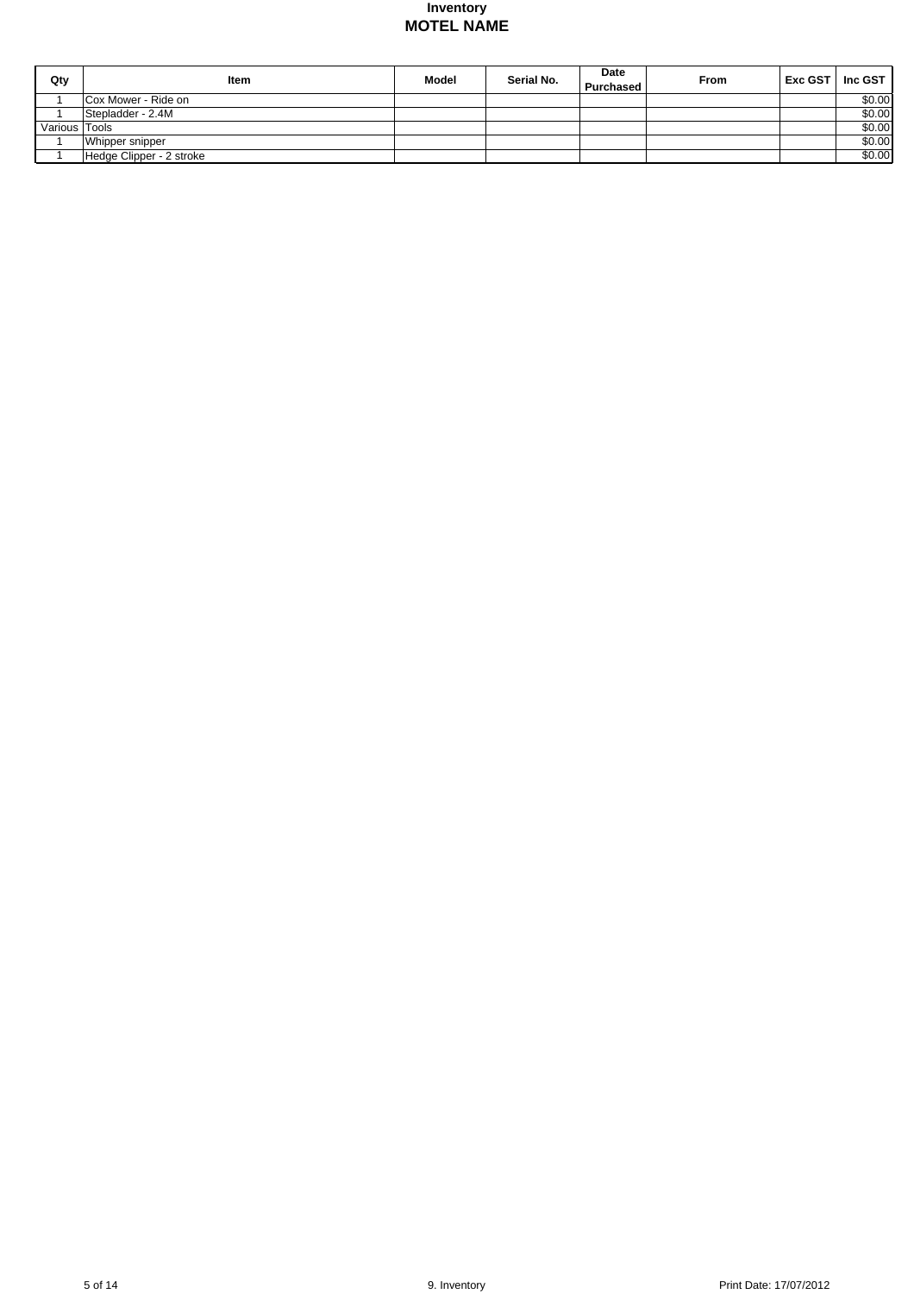| Qty           | ltem                     | <b>Model</b> | Serial No. | Date<br>Purchased | From | <b>Exc GST</b> | Inc GST $\vert$ |
|---------------|--------------------------|--------------|------------|-------------------|------|----------------|-----------------|
|               | Cox Mower - Ride on      |              |            |                   |      |                | \$0.00          |
|               | Stepladder - 2.4M        |              |            |                   |      |                | \$0.00          |
| Various Tools |                          |              |            |                   |      |                | \$0.00          |
|               | Whipper snipper          |              |            |                   |      |                | \$0.00          |
|               | Hedge Clipper - 2 stroke |              |            |                   |      |                | \$0.00          |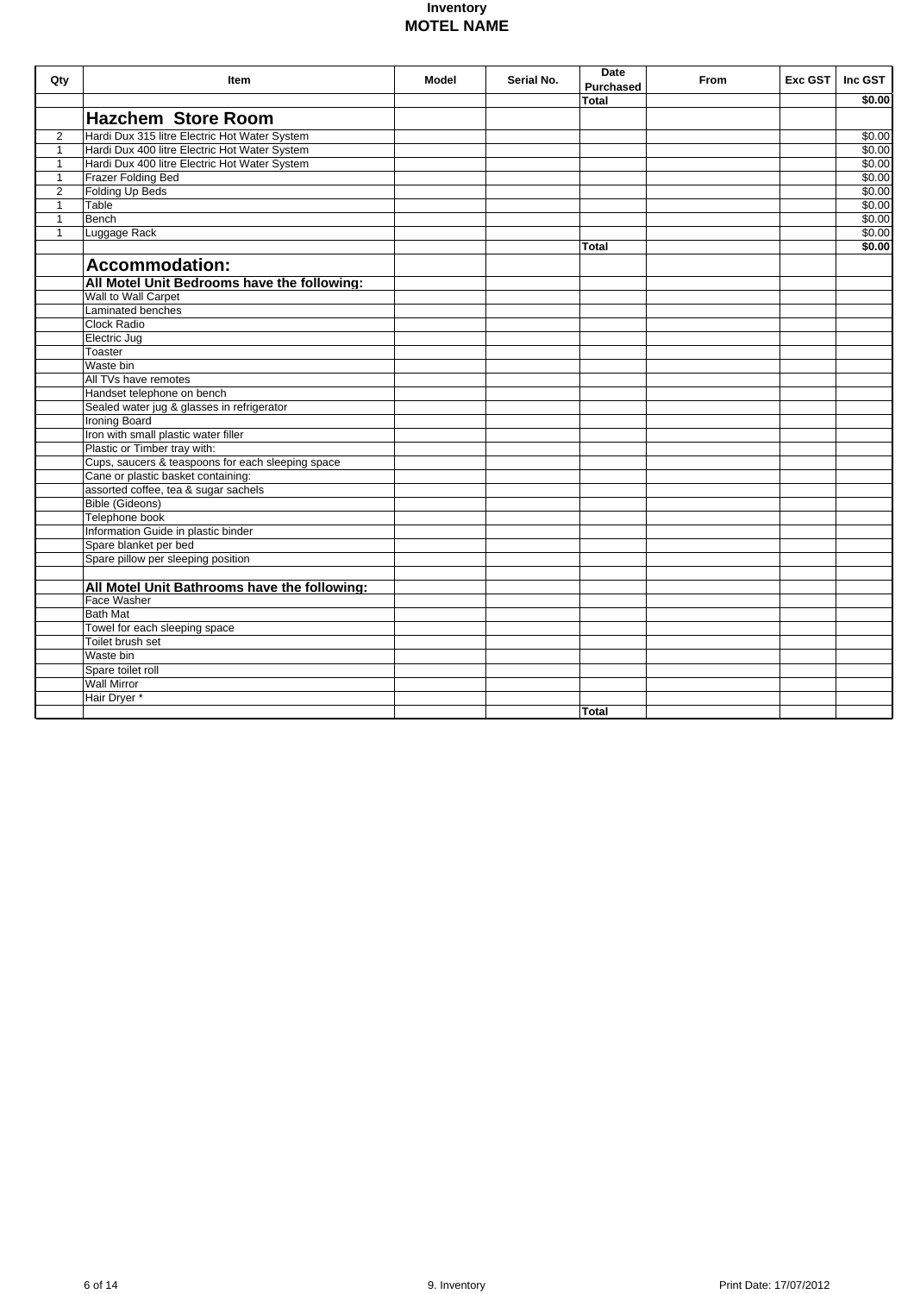| Qty            | <b>Item</b>                                       | <b>Model</b> | Serial No. | Date<br><b>Purchased</b> | From | Exc GST | Inc GST |
|----------------|---------------------------------------------------|--------------|------------|--------------------------|------|---------|---------|
|                |                                                   |              |            | Total                    |      |         | \$0.00  |
|                | <b>Hazchem Store Room</b>                         |              |            |                          |      |         |         |
| $\overline{2}$ | Hardi Dux 315 litre Electric Hot Water System     |              |            |                          |      |         | \$0.00  |
| $\mathbf{1}$   | Hardi Dux 400 litre Electric Hot Water System     |              |            |                          |      |         | \$0.00  |
| $\mathbf{1}$   | Hardi Dux 400 litre Electric Hot Water System     |              |            |                          |      |         | \$0.00  |
| $\mathbf{1}$   | <b>Frazer Folding Bed</b>                         |              |            |                          |      |         | \$0.00  |
| $\overline{2}$ | Folding Up Beds                                   |              |            |                          |      |         | \$0.00  |
| $\mathbf{1}$   | Table                                             |              |            |                          |      |         | \$0.00  |
| $\mathbf{1}$   | Bench                                             |              |            |                          |      |         | \$0.00  |
| $\overline{1}$ | Luggage Rack                                      |              |            |                          |      |         | \$0.00  |
|                |                                                   |              |            | Total                    |      |         | \$0.00  |
|                | <b>Accommodation:</b>                             |              |            |                          |      |         |         |
|                |                                                   |              |            |                          |      |         |         |
|                | All Motel Unit Bedrooms have the following:       |              |            |                          |      |         |         |
|                | Wall to Wall Carpet<br>Laminated benches          |              |            |                          |      |         |         |
|                |                                                   |              |            |                          |      |         |         |
|                | <b>Clock Radio</b>                                |              |            |                          |      |         |         |
|                | Electric Jug                                      |              |            |                          |      |         |         |
|                | Toaster                                           |              |            |                          |      |         |         |
|                | Waste bin                                         |              |            |                          |      |         |         |
|                | All TVs have remotes                              |              |            |                          |      |         |         |
|                | Handset telephone on bench                        |              |            |                          |      |         |         |
|                | Sealed water jug & glasses in refrigerator        |              |            |                          |      |         |         |
|                | Ironing Board                                     |              |            |                          |      |         |         |
|                | Iron with small plastic water filler              |              |            |                          |      |         |         |
|                | Plastic or Timber tray with:                      |              |            |                          |      |         |         |
|                | Cups, saucers & teaspoons for each sleeping space |              |            |                          |      |         |         |
|                | Cane or plastic basket containing:                |              |            |                          |      |         |         |
|                | assorted coffee, tea & sugar sachels              |              |            |                          |      |         |         |
|                | <b>Bible (Gideons)</b>                            |              |            |                          |      |         |         |
|                | Telephone book                                    |              |            |                          |      |         |         |
|                | Information Guide in plastic binder               |              |            |                          |      |         |         |
|                | Spare blanket per bed                             |              |            |                          |      |         |         |
|                | Spare pillow per sleeping position                |              |            |                          |      |         |         |
|                | All Motel Unit Bathrooms have the following:      |              |            |                          |      |         |         |
|                | Face Washer                                       |              |            |                          |      |         |         |
|                | <b>Bath Mat</b>                                   |              |            |                          |      |         |         |
|                | Towel for each sleeping space                     |              |            |                          |      |         |         |
|                | Toilet brush set                                  |              |            |                          |      |         |         |
|                | Waste bin                                         |              |            |                          |      |         |         |
|                |                                                   |              |            |                          |      |         |         |
|                | Spare toilet roll<br><b>Wall Mirror</b>           |              |            |                          |      |         |         |
|                |                                                   |              |            |                          |      |         |         |
|                | Hair Dryer *                                      |              |            | <b>Total</b>             |      |         |         |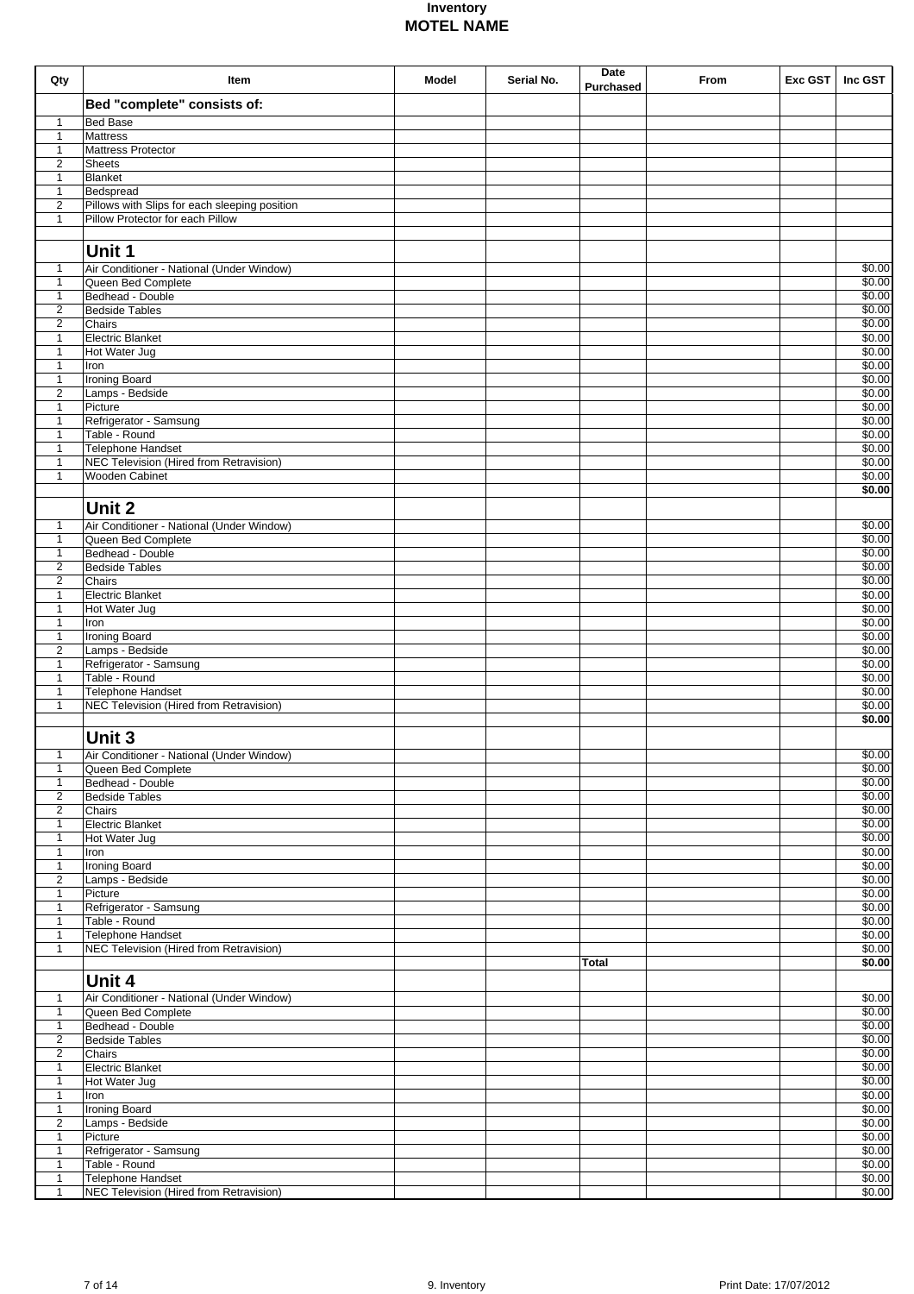| Qty                            | Item                                                                | <b>Model</b> | Serial No. | Date             | From | Exc GST | Inc GST          |
|--------------------------------|---------------------------------------------------------------------|--------------|------------|------------------|------|---------|------------------|
|                                | Bed "complete" consists of:                                         |              |            | <b>Purchased</b> |      |         |                  |
| 1                              | <b>Bed Base</b>                                                     |              |            |                  |      |         |                  |
| $\mathbf{1}$                   | <b>Mattress</b>                                                     |              |            |                  |      |         |                  |
| 1                              | Mattress Protector                                                  |              |            |                  |      |         |                  |
| 2<br>$\mathbf{1}$              | <b>Sheets</b><br>Blanket                                            |              |            |                  |      |         |                  |
| $\mathbf{1}$                   | Bedspread                                                           |              |            |                  |      |         |                  |
| 2                              | Pillows with Slips for each sleeping position                       |              |            |                  |      |         |                  |
| $\mathbf{1}$                   | Pillow Protector for each Pillow                                    |              |            |                  |      |         |                  |
|                                |                                                                     |              |            |                  |      |         |                  |
|                                | Unit 1                                                              |              |            |                  |      |         |                  |
| $\mathbf{1}$<br>$\mathbf{1}$   | Air Conditioner - National (Under Window)<br>Queen Bed Complete     |              |            |                  |      |         | \$0.00<br>\$0.00 |
| $\mathbf{1}$                   | Bedhead - Double                                                    |              |            |                  |      |         | \$0.00           |
| 2                              | <b>Bedside Tables</b>                                               |              |            |                  |      |         | \$0.00           |
| 2<br>$\mathbf{1}$              | Chairs<br>Electric Blanket                                          |              |            |                  |      |         | \$0.00<br>\$0.00 |
| $\mathbf{1}$                   | Hot Water Jug                                                       |              |            |                  |      |         | \$0.00           |
| $\mathbf{1}$                   | Iron                                                                |              |            |                  |      |         | \$0.00           |
| $\mathbf{1}$                   | <b>Ironing Board</b>                                                |              |            |                  |      |         | \$0.00           |
| 2<br>$\mathbf{1}$              | Lamps - Bedside<br>Picture                                          |              |            |                  |      |         | \$0.00<br>\$0.00 |
| $\mathbf{1}$                   | Refrigerator - Samsung                                              |              |            |                  |      |         | \$0.00           |
| $\mathbf{1}$                   | Table - Round                                                       |              |            |                  |      |         | \$0.00           |
| $\mathbf{1}$<br>$\mathbf{1}$   | <b>Telephone Handset</b><br>NEC Television (Hired from Retravision) |              |            |                  |      |         | \$0.00<br>\$0.00 |
| $\mathbf{1}$                   | <b>Wooden Cabinet</b>                                               |              |            |                  |      |         | \$0.00           |
|                                |                                                                     |              |            |                  |      |         | \$0.00           |
|                                | Unit 2                                                              |              |            |                  |      |         |                  |
| $\mathbf{1}$                   | Air Conditioner - National (Under Window)                           |              |            |                  |      |         | \$0.00           |
| $\mathbf{1}$                   | Queen Bed Complete                                                  |              |            |                  |      |         | \$0.00           |
| $\mathbf{1}$<br>$\sqrt{2}$     | Bedhead - Double<br><b>Bedside Tables</b>                           |              |            |                  |      |         | \$0.00<br>\$0.00 |
| $\overline{2}$                 | Chairs                                                              |              |            |                  |      |         | \$0.00           |
| $\mathbf{1}$                   | <b>Electric Blanket</b>                                             |              |            |                  |      |         | \$0.00           |
| $\mathbf{1}$                   | Hot Water Jug                                                       |              |            |                  |      |         | \$0.00           |
| $\mathbf{1}$<br>$\mathbf{1}$   | Iron<br><b>Ironing Board</b>                                        |              |            |                  |      |         | \$0.00<br>\$0.00 |
| $\overline{2}$                 | Lamps - Bedside                                                     |              |            |                  |      |         | \$0.00           |
| $\mathbf{1}$                   | Refrigerator - Samsung                                              |              |            |                  |      |         | \$0.00           |
| $\mathbf{1}$<br>$\mathbf{1}$   | Table - Round                                                       |              |            |                  |      |         | \$0.00<br>\$0.00 |
| $\mathbf{1}$                   | Telephone Handset<br>NEC Television (Hired from Retravision)        |              |            |                  |      |         | \$0.00           |
|                                |                                                                     |              |            |                  |      |         | \$0.00           |
|                                | Unit 3                                                              |              |            |                  |      |         |                  |
| $\overline{1}$                 | Air Conditioner - National (Under Window)                           |              |            |                  |      |         | \$0.00           |
| $\mathbf{1}$                   | Queen Bed Complete                                                  |              |            |                  |      |         | \$0.00           |
| $\mathbf{1}$<br>$\overline{2}$ | Bedhead - Double<br><b>Bedside Tables</b>                           |              |            |                  |      |         | \$0.00<br>\$0.00 |
| $\overline{2}$                 | Chairs                                                              |              |            |                  |      |         | \$0.00           |
| $\mathbf{1}$                   | <b>Electric Blanket</b>                                             |              |            |                  |      |         | \$0.00           |
| $\mathbf{1}$                   | Hot Water Jug                                                       |              |            |                  |      |         | \$0.00           |
| $\mathbf{1}$<br>$\mathbf{1}$   | Iron<br><b>Ironing Board</b>                                        |              |            |                  |      |         | \$0.00<br>\$0.00 |
| $\overline{2}$                 | Lamps - Bedside                                                     |              |            |                  |      |         | \$0.00           |
| $\mathbf{1}$                   | Picture                                                             |              |            |                  |      |         | \$0.00           |
| $\mathbf{1}$<br>$\mathbf{1}$   | Refrigerator - Samsung<br>Table - Round                             |              |            |                  |      |         | \$0.00<br>\$0.00 |
| $\mathbf{1}$                   | Telephone Handset                                                   |              |            |                  |      |         | \$0.00           |
| $\mathbf{1}$                   | NEC Television (Hired from Retravision)                             |              |            |                  |      |         | \$0.00           |
|                                |                                                                     |              |            | Total            |      |         | \$0.00           |
|                                | Unit 4                                                              |              |            |                  |      |         |                  |
| $\mathbf{1}$                   | Air Conditioner - National (Under Window)                           |              |            |                  |      |         | $\sqrt{$0.00}$   |
| $\mathbf{1}$<br>$\mathbf{1}$   | Queen Bed Complete<br>Bedhead - Double                              |              |            |                  |      |         | \$0.00<br>\$0.00 |
| $\overline{2}$                 | <b>Bedside Tables</b>                                               |              |            |                  |      |         | \$0.00           |
| $\overline{2}$                 | Chairs                                                              |              |            |                  |      |         | \$0.00           |
| $\mathbf{1}$                   | Electric Blanket                                                    |              |            |                  |      |         | \$0.00           |
| $\mathbf{1}$<br>$\mathbf{1}$   | Hot Water Jug<br>Iron                                               |              |            |                  |      |         | \$0.00<br>\$0.00 |
| $\mathbf{1}$                   | <b>Ironing Board</b>                                                |              |            |                  |      |         | \$0.00           |
| 2                              | Lamps - Bedside                                                     |              |            |                  |      |         | \$0.00           |
| $\mathbf{1}$                   | Picture<br>Refrigerator - Samsung                                   |              |            |                  |      |         | \$0.00<br>\$0.00 |
| $\mathbf{1}$<br>$\mathbf{1}$   | Table - Round                                                       |              |            |                  |      |         | \$0.00           |
| $\mathbf{1}$                   | Telephone Handset                                                   |              |            |                  |      |         | \$0.00           |
| $\mathbf{1}$                   | NEC Television (Hired from Retravision)                             |              |            |                  |      |         | \$0.00           |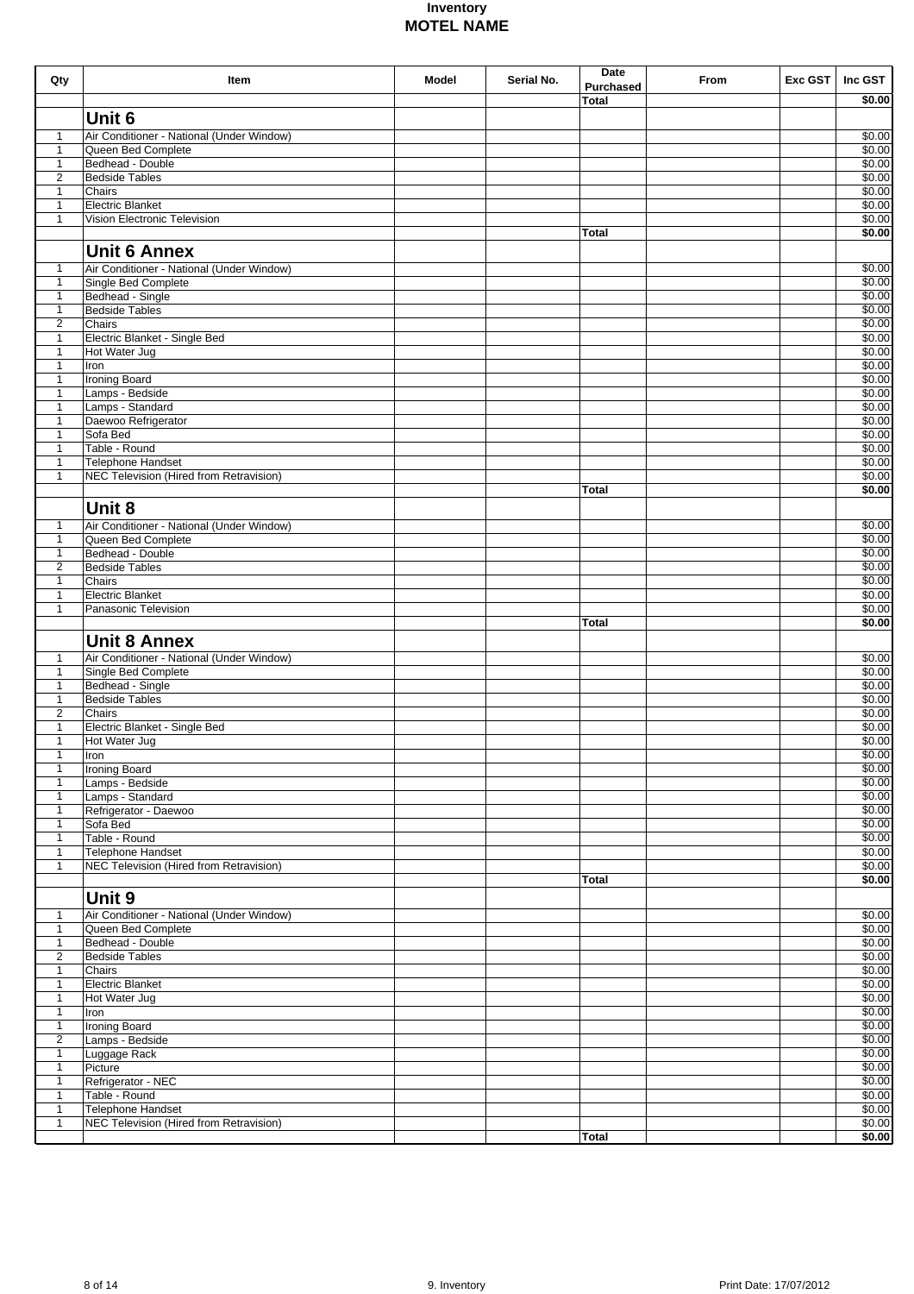| Qty                          | Item                                                             | <b>Model</b> | Serial No. | Date<br><b>Purchased</b> | From | Exc GST | Inc GST                  |
|------------------------------|------------------------------------------------------------------|--------------|------------|--------------------------|------|---------|--------------------------|
|                              |                                                                  |              |            | Total                    |      |         | \$0.00                   |
|                              | Unit 6                                                           |              |            |                          |      |         |                          |
| 1                            | Air Conditioner - National (Under Window)                        |              |            |                          |      |         | $\sqrt{$0.00}$           |
| $\mathbf{1}$                 | Queen Bed Complete<br>Bedhead - Double                           |              |            |                          |      |         | $\sqrt{$0.00}$<br>\$0.00 |
| $\mathbf{1}$<br>2            | <b>Bedside Tables</b>                                            |              |            |                          |      |         | \$0.00                   |
| $\mathbf{1}$                 | Chairs                                                           |              |            |                          |      |         | \$0.00                   |
| $\mathbf{1}$                 | <b>Electric Blanket</b>                                          |              |            |                          |      |         | \$0.00                   |
| $\mathbf{1}$                 | Vision Electronic Television                                     |              |            |                          |      |         | \$0.00                   |
|                              |                                                                  |              |            | <b>Total</b>             |      |         | \$0.00                   |
|                              | <b>Unit 6 Annex</b>                                              |              |            |                          |      |         |                          |
| 1<br>$\mathbf{1}$            | Air Conditioner - National (Under Window)<br>Single Bed Complete |              |            |                          |      |         | \$0.00<br>\$0.00         |
| $\mathbf{1}$                 | Bedhead - Single                                                 |              |            |                          |      |         | \$0.00                   |
| $\mathbf{1}$                 | <b>Bedside Tables</b>                                            |              |            |                          |      |         | \$0.00                   |
| $\overline{2}$               | Chairs                                                           |              |            |                          |      |         | \$0.00                   |
| $\mathbf{1}$<br>1            | Electric Blanket - Single Bed<br>Hot Water Jug                   |              |            |                          |      |         | \$0.00<br>\$0.00         |
| $\mathbf{1}$                 | Iron                                                             |              |            |                          |      |         | \$0.00                   |
| 1                            | Ironing Board                                                    |              |            |                          |      |         | \$0.00                   |
| $\mathbf{1}$                 | Lamps - Bedside                                                  |              |            |                          |      |         | \$0.00                   |
| 1                            | Lamps - Standard                                                 |              |            |                          |      |         | \$0.00<br>\$0.00         |
| 1<br>$\mathbf{1}$            | Daewoo Refrigerator<br>Sofa Bed                                  |              |            |                          |      |         | \$0.00                   |
| $\mathbf{1}$                 | Table - Round                                                    |              |            |                          |      |         | \$0.00                   |
| $\mathbf{1}$                 | <b>Telephone Handset</b>                                         |              |            |                          |      |         | \$0.00                   |
| $\mathbf{1}$                 | <b>NEC Television (Hired from Retravision)</b>                   |              |            |                          |      |         | \$0.00                   |
|                              |                                                                  |              |            | <b>Total</b>             |      |         | \$0.00                   |
|                              | Unit 8                                                           |              |            |                          |      |         |                          |
| 1                            | Air Conditioner - National (Under Window)<br>Queen Bed Complete  |              |            |                          |      |         | \$0.00<br>\$0.00         |
| $\mathbf{1}$<br>$\mathbf{1}$ | Bedhead - Double                                                 |              |            |                          |      |         | \$0.00                   |
| 2                            | <b>Bedside Tables</b>                                            |              |            |                          |      |         | \$0.00                   |
| $\mathbf{1}$                 | Chairs                                                           |              |            |                          |      |         | \$0.00                   |
| $\mathbf{1}$                 | <b>Electric Blanket</b>                                          |              |            |                          |      |         | \$0.00                   |
| $\mathbf{1}$                 | Panasonic Television                                             |              |            | <b>Total</b>             |      |         | \$0.00<br>\$0.00         |
|                              | <b>Unit 8 Annex</b>                                              |              |            |                          |      |         |                          |
| 1                            | Air Conditioner - National (Under Window)                        |              |            |                          |      |         | \$0.00                   |
| $\mathbf{1}$                 | Single Bed Complete                                              |              |            |                          |      |         | \$0.00                   |
| 1                            | Bedhead - Single                                                 |              |            |                          |      |         | \$0.00                   |
| $\mathbf{1}$                 | <b>Bedside Tables</b>                                            |              |            |                          |      |         | \$0.00                   |
| 2<br>1                       | Chairs<br>Electric Blanket - Single Bed                          |              |            |                          |      |         | \$0.00<br>\$0.00         |
| 1                            | Hot Water Jug                                                    |              |            |                          |      |         | \$0.00                   |
| $\mathbf{1}$                 | Iron                                                             |              |            |                          |      |         | \$0.00                   |
| 1                            | <b>Ironing Board</b>                                             |              |            |                          |      |         | \$0.00                   |
| $\mathbf{1}$                 | Lamps - Bedside                                                  |              |            |                          |      |         | \$0.00                   |
| $\mathbf{1}$<br>$\mathbf{1}$ | Lamps - Standard<br>Refrigerator - Daewoo                        |              |            |                          |      |         | \$0.00<br>\$0.00         |
| $\mathbf{1}$                 | Sofa Bed                                                         |              |            |                          |      |         | \$0.00                   |
| $\mathbf{1}$                 | Table - Round                                                    |              |            |                          |      |         | \$0.00                   |
| $\mathbf{1}$                 | Telephone Handset                                                |              |            |                          |      |         | \$0.00                   |
| $\mathbf{1}$                 | <b>NEC Television (Hired from Retravision)</b>                   |              |            | <b>Total</b>             |      |         | \$0.00<br>\$0.00         |
|                              | Unit 9                                                           |              |            |                          |      |         |                          |
|                              | Air Conditioner - National (Under Window)                        |              |            |                          |      |         | \$0.00                   |
| 1<br>$\mathbf{1}$            | Queen Bed Complete                                               |              |            |                          |      |         | \$0.00                   |
| $\mathbf{1}$                 | Bedhead - Double                                                 |              |            |                          |      |         | \$0.00                   |
| $\overline{2}$               | <b>Bedside Tables</b>                                            |              |            |                          |      |         | \$0.00                   |
| $\mathbf{1}$                 | Chairs                                                           |              |            |                          |      |         | \$0.00                   |
| $\mathbf{1}$<br>$\mathbf{1}$ | Electric Blanket<br>Hot Water Jug                                |              |            |                          |      |         | \$0.00<br>\$0.00         |
| $\mathbf{1}$                 | Iron                                                             |              |            |                          |      |         | \$0.00                   |
| $\mathbf{1}$                 | Ironing Board                                                    |              |            |                          |      |         | \$0.00                   |
| $\overline{2}$               | Lamps - Bedside                                                  |              |            |                          |      |         | \$0.00                   |
| $\mathbf{1}$                 | Luggage Rack<br>Picture                                          |              |            |                          |      |         | \$0.00<br>\$0.00         |
| $\mathbf{1}$<br>$\mathbf{1}$ | Refrigerator - NEC                                               |              |            |                          |      |         | \$0.00                   |
| $\mathbf{1}$                 | Table - Round                                                    |              |            |                          |      |         | \$0.00                   |
| $\mathbf{1}$                 | Telephone Handset                                                |              |            |                          |      |         | \$0.00                   |
| $\mathbf{1}$                 | NEC Television (Hired from Retravision)                          |              |            |                          |      |         | \$0.00                   |
|                              |                                                                  |              |            | <b>Total</b>             |      |         | \$0.00                   |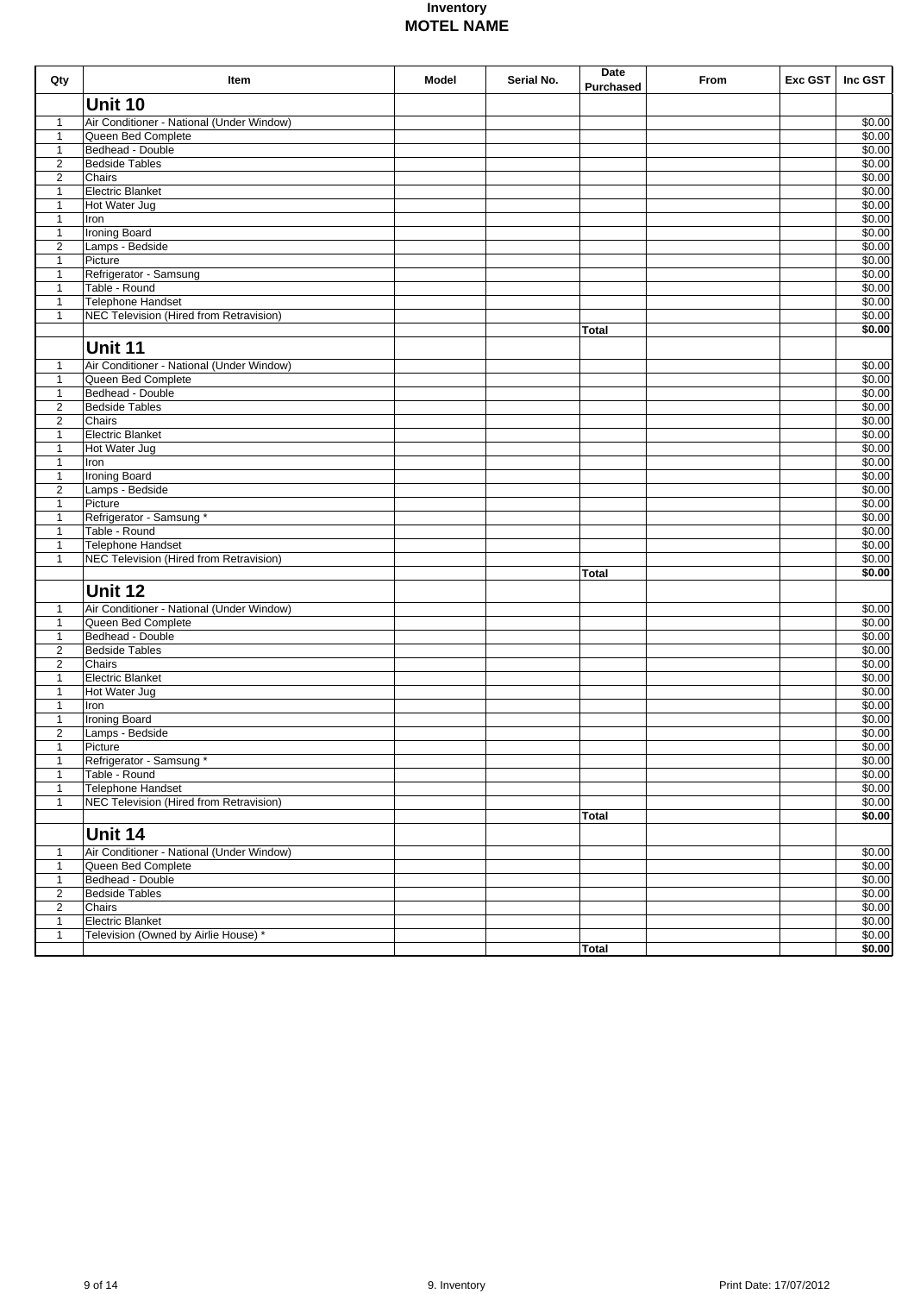| Unit 10<br>Air Conditioner - National (Under Window)<br>\$0.00<br>$\mathbf{1}$<br>Queen Bed Complete<br>\$0.00<br>$\mathbf{1}$<br>Bedhead - Double<br>\$0.00<br>$\mathbf{1}$<br>$\overline{2}$<br><b>Bedside Tables</b><br>\$0.00<br>$\overline{2}$<br>Chairs<br>\$0.00<br><b>Electric Blanket</b><br>\$0.00<br>$\mathbf{1}$<br>Hot Water Jug<br>\$0.00<br>$\mathbf{1}$<br>\$0.00<br>$\mathbf{1}$<br>Iron<br><b>Ironing Board</b><br>\$0.00<br>$\mathbf{1}$<br>$\overline{2}$<br>Lamps - Bedside<br>\$0.00<br>Picture<br>\$0.00<br>$\mathbf{1}$<br>Refrigerator - Samsung<br>\$0.00<br>$\mathbf{1}$<br>Table - Round<br>\$0.00<br>$\mathbf{1}$<br>Telephone Handset<br>\$0.00<br>$\mathbf{1}$<br>NEC Television (Hired from Retravision)<br>\$0.00<br>$\mathbf{1}$<br>\$0.00<br><b>Total</b><br>Unit 11<br>Air Conditioner - National (Under Window)<br>\$0.00<br>$\mathbf{1}$<br>Queen Bed Complete<br>\$0.00<br>$\mathbf{1}$<br>Bedhead - Double<br>\$0.00<br>$\mathbf{1}$<br><b>Bedside Tables</b><br>\$0.00<br>$\overline{2}$<br>Chairs<br>\$0.00<br>$\overline{2}$<br><b>Electric Blanket</b><br>\$0.00<br>$\mathbf{1}$<br>Hot Water Jug<br>\$0.00<br>1<br>\$0.00<br>$\mathbf{1}$<br>Iron<br><b>Ironing Board</b><br>\$0.00<br>$\mathbf{1}$<br>Lamps - Bedside<br>\$0.00<br>$\overline{2}$<br>Picture<br>\$0.00<br>$\mathbf{1}$<br>Refrigerator - Samsung *<br>\$0.00<br>$\mathbf{1}$<br>Table - Round<br>\$0.00<br>$\mathbf{1}$<br><b>Telephone Handset</b><br>\$0.00<br>$\mathbf{1}$<br>NEC Television (Hired from Retravision)<br>\$0.00<br>$\mathbf{1}$<br>\$0.00<br><b>Total</b><br>Unit 12<br>\$0.00<br>Air Conditioner - National (Under Window)<br>1<br>Queen Bed Complete<br>\$0.00<br>$\mathbf{1}$<br>Bedhead - Double<br>\$0.00<br>$\mathbf{1}$<br>$\overline{c}$<br>\$0.00<br><b>Bedside Tables</b><br>$\overline{c}$<br>\$0.00<br>Chairs<br>\$0.00<br>1<br><b>Electric Blanket</b><br>\$0.00<br>$\mathbf{1}$<br>Hot Water Jug<br>$\mathbf{1}$<br>\$0.00<br>Iron<br>\$0.00<br>$\mathbf{1}$<br><b>Ironing Board</b><br>$\overline{c}$<br>\$0.00<br>Lamps - Bedside<br>\$0.00<br>Picture<br>1<br>Refrigerator - Samsung *<br>\$0.00<br>1<br>Table - Round<br>\$0.00<br>$\mathbf{1}$<br>$\mathbf{1}$<br>Telephone Handset<br>\$0.00<br>NEC Television (Hired from Retravision)<br>\$0.00<br>$\mathbf{1}$<br>\$0.00<br>Total<br>Unit 14<br>Air Conditioner - National (Under Window)<br>\$0.00<br>$\mathbf{1}$<br>\$0.00<br>$\mathbf{1}$<br>Queen Bed Complete<br>\$0.00<br>$\mathbf{1}$<br>Bedhead - Double<br>\$0.00<br>2<br><b>Bedside Tables</b><br>$\overline{2}$<br>Chairs<br>\$0.00<br><b>Electric Blanket</b><br>\$0.00<br>$\mathbf{1}$<br>Television (Owned by Airlie House) *<br>\$0.00<br>$\mathbf{1}$<br>\$0.00<br>Total | Qty | Item | Model | Serial No. | Date<br><b>Purchased</b> | From | Exc GST | Inc GST |
|---------------------------------------------------------------------------------------------------------------------------------------------------------------------------------------------------------------------------------------------------------------------------------------------------------------------------------------------------------------------------------------------------------------------------------------------------------------------------------------------------------------------------------------------------------------------------------------------------------------------------------------------------------------------------------------------------------------------------------------------------------------------------------------------------------------------------------------------------------------------------------------------------------------------------------------------------------------------------------------------------------------------------------------------------------------------------------------------------------------------------------------------------------------------------------------------------------------------------------------------------------------------------------------------------------------------------------------------------------------------------------------------------------------------------------------------------------------------------------------------------------------------------------------------------------------------------------------------------------------------------------------------------------------------------------------------------------------------------------------------------------------------------------------------------------------------------------------------------------------------------------------------------------------------------------------------------------------------------------------------------------------------------------------------------------------------------------------------------------------------------------------------------------------------------------------------------------------------------------------------------------------------------------------------------------------------------------------------------------------------------------------------------------------------------------------------------------------------------------------------------------------------------------------------------------------------------------------------------------------------------------------------------------------------------------------------------------------------------------------------------|-----|------|-------|------------|--------------------------|------|---------|---------|
|                                                                                                                                                                                                                                                                                                                                                                                                                                                                                                                                                                                                                                                                                                                                                                                                                                                                                                                                                                                                                                                                                                                                                                                                                                                                                                                                                                                                                                                                                                                                                                                                                                                                                                                                                                                                                                                                                                                                                                                                                                                                                                                                                                                                                                                                                                                                                                                                                                                                                                                                                                                                                                                                                                                                                   |     |      |       |            |                          |      |         |         |
|                                                                                                                                                                                                                                                                                                                                                                                                                                                                                                                                                                                                                                                                                                                                                                                                                                                                                                                                                                                                                                                                                                                                                                                                                                                                                                                                                                                                                                                                                                                                                                                                                                                                                                                                                                                                                                                                                                                                                                                                                                                                                                                                                                                                                                                                                                                                                                                                                                                                                                                                                                                                                                                                                                                                                   |     |      |       |            |                          |      |         |         |
|                                                                                                                                                                                                                                                                                                                                                                                                                                                                                                                                                                                                                                                                                                                                                                                                                                                                                                                                                                                                                                                                                                                                                                                                                                                                                                                                                                                                                                                                                                                                                                                                                                                                                                                                                                                                                                                                                                                                                                                                                                                                                                                                                                                                                                                                                                                                                                                                                                                                                                                                                                                                                                                                                                                                                   |     |      |       |            |                          |      |         |         |
|                                                                                                                                                                                                                                                                                                                                                                                                                                                                                                                                                                                                                                                                                                                                                                                                                                                                                                                                                                                                                                                                                                                                                                                                                                                                                                                                                                                                                                                                                                                                                                                                                                                                                                                                                                                                                                                                                                                                                                                                                                                                                                                                                                                                                                                                                                                                                                                                                                                                                                                                                                                                                                                                                                                                                   |     |      |       |            |                          |      |         |         |
|                                                                                                                                                                                                                                                                                                                                                                                                                                                                                                                                                                                                                                                                                                                                                                                                                                                                                                                                                                                                                                                                                                                                                                                                                                                                                                                                                                                                                                                                                                                                                                                                                                                                                                                                                                                                                                                                                                                                                                                                                                                                                                                                                                                                                                                                                                                                                                                                                                                                                                                                                                                                                                                                                                                                                   |     |      |       |            |                          |      |         |         |
|                                                                                                                                                                                                                                                                                                                                                                                                                                                                                                                                                                                                                                                                                                                                                                                                                                                                                                                                                                                                                                                                                                                                                                                                                                                                                                                                                                                                                                                                                                                                                                                                                                                                                                                                                                                                                                                                                                                                                                                                                                                                                                                                                                                                                                                                                                                                                                                                                                                                                                                                                                                                                                                                                                                                                   |     |      |       |            |                          |      |         |         |
|                                                                                                                                                                                                                                                                                                                                                                                                                                                                                                                                                                                                                                                                                                                                                                                                                                                                                                                                                                                                                                                                                                                                                                                                                                                                                                                                                                                                                                                                                                                                                                                                                                                                                                                                                                                                                                                                                                                                                                                                                                                                                                                                                                                                                                                                                                                                                                                                                                                                                                                                                                                                                                                                                                                                                   |     |      |       |            |                          |      |         |         |
|                                                                                                                                                                                                                                                                                                                                                                                                                                                                                                                                                                                                                                                                                                                                                                                                                                                                                                                                                                                                                                                                                                                                                                                                                                                                                                                                                                                                                                                                                                                                                                                                                                                                                                                                                                                                                                                                                                                                                                                                                                                                                                                                                                                                                                                                                                                                                                                                                                                                                                                                                                                                                                                                                                                                                   |     |      |       |            |                          |      |         |         |
|                                                                                                                                                                                                                                                                                                                                                                                                                                                                                                                                                                                                                                                                                                                                                                                                                                                                                                                                                                                                                                                                                                                                                                                                                                                                                                                                                                                                                                                                                                                                                                                                                                                                                                                                                                                                                                                                                                                                                                                                                                                                                                                                                                                                                                                                                                                                                                                                                                                                                                                                                                                                                                                                                                                                                   |     |      |       |            |                          |      |         |         |
|                                                                                                                                                                                                                                                                                                                                                                                                                                                                                                                                                                                                                                                                                                                                                                                                                                                                                                                                                                                                                                                                                                                                                                                                                                                                                                                                                                                                                                                                                                                                                                                                                                                                                                                                                                                                                                                                                                                                                                                                                                                                                                                                                                                                                                                                                                                                                                                                                                                                                                                                                                                                                                                                                                                                                   |     |      |       |            |                          |      |         |         |
|                                                                                                                                                                                                                                                                                                                                                                                                                                                                                                                                                                                                                                                                                                                                                                                                                                                                                                                                                                                                                                                                                                                                                                                                                                                                                                                                                                                                                                                                                                                                                                                                                                                                                                                                                                                                                                                                                                                                                                                                                                                                                                                                                                                                                                                                                                                                                                                                                                                                                                                                                                                                                                                                                                                                                   |     |      |       |            |                          |      |         |         |
|                                                                                                                                                                                                                                                                                                                                                                                                                                                                                                                                                                                                                                                                                                                                                                                                                                                                                                                                                                                                                                                                                                                                                                                                                                                                                                                                                                                                                                                                                                                                                                                                                                                                                                                                                                                                                                                                                                                                                                                                                                                                                                                                                                                                                                                                                                                                                                                                                                                                                                                                                                                                                                                                                                                                                   |     |      |       |            |                          |      |         |         |
|                                                                                                                                                                                                                                                                                                                                                                                                                                                                                                                                                                                                                                                                                                                                                                                                                                                                                                                                                                                                                                                                                                                                                                                                                                                                                                                                                                                                                                                                                                                                                                                                                                                                                                                                                                                                                                                                                                                                                                                                                                                                                                                                                                                                                                                                                                                                                                                                                                                                                                                                                                                                                                                                                                                                                   |     |      |       |            |                          |      |         |         |
|                                                                                                                                                                                                                                                                                                                                                                                                                                                                                                                                                                                                                                                                                                                                                                                                                                                                                                                                                                                                                                                                                                                                                                                                                                                                                                                                                                                                                                                                                                                                                                                                                                                                                                                                                                                                                                                                                                                                                                                                                                                                                                                                                                                                                                                                                                                                                                                                                                                                                                                                                                                                                                                                                                                                                   |     |      |       |            |                          |      |         |         |
|                                                                                                                                                                                                                                                                                                                                                                                                                                                                                                                                                                                                                                                                                                                                                                                                                                                                                                                                                                                                                                                                                                                                                                                                                                                                                                                                                                                                                                                                                                                                                                                                                                                                                                                                                                                                                                                                                                                                                                                                                                                                                                                                                                                                                                                                                                                                                                                                                                                                                                                                                                                                                                                                                                                                                   |     |      |       |            |                          |      |         |         |
|                                                                                                                                                                                                                                                                                                                                                                                                                                                                                                                                                                                                                                                                                                                                                                                                                                                                                                                                                                                                                                                                                                                                                                                                                                                                                                                                                                                                                                                                                                                                                                                                                                                                                                                                                                                                                                                                                                                                                                                                                                                                                                                                                                                                                                                                                                                                                                                                                                                                                                                                                                                                                                                                                                                                                   |     |      |       |            |                          |      |         |         |
|                                                                                                                                                                                                                                                                                                                                                                                                                                                                                                                                                                                                                                                                                                                                                                                                                                                                                                                                                                                                                                                                                                                                                                                                                                                                                                                                                                                                                                                                                                                                                                                                                                                                                                                                                                                                                                                                                                                                                                                                                                                                                                                                                                                                                                                                                                                                                                                                                                                                                                                                                                                                                                                                                                                                                   |     |      |       |            |                          |      |         |         |
|                                                                                                                                                                                                                                                                                                                                                                                                                                                                                                                                                                                                                                                                                                                                                                                                                                                                                                                                                                                                                                                                                                                                                                                                                                                                                                                                                                                                                                                                                                                                                                                                                                                                                                                                                                                                                                                                                                                                                                                                                                                                                                                                                                                                                                                                                                                                                                                                                                                                                                                                                                                                                                                                                                                                                   |     |      |       |            |                          |      |         |         |
|                                                                                                                                                                                                                                                                                                                                                                                                                                                                                                                                                                                                                                                                                                                                                                                                                                                                                                                                                                                                                                                                                                                                                                                                                                                                                                                                                                                                                                                                                                                                                                                                                                                                                                                                                                                                                                                                                                                                                                                                                                                                                                                                                                                                                                                                                                                                                                                                                                                                                                                                                                                                                                                                                                                                                   |     |      |       |            |                          |      |         |         |
|                                                                                                                                                                                                                                                                                                                                                                                                                                                                                                                                                                                                                                                                                                                                                                                                                                                                                                                                                                                                                                                                                                                                                                                                                                                                                                                                                                                                                                                                                                                                                                                                                                                                                                                                                                                                                                                                                                                                                                                                                                                                                                                                                                                                                                                                                                                                                                                                                                                                                                                                                                                                                                                                                                                                                   |     |      |       |            |                          |      |         |         |
|                                                                                                                                                                                                                                                                                                                                                                                                                                                                                                                                                                                                                                                                                                                                                                                                                                                                                                                                                                                                                                                                                                                                                                                                                                                                                                                                                                                                                                                                                                                                                                                                                                                                                                                                                                                                                                                                                                                                                                                                                                                                                                                                                                                                                                                                                                                                                                                                                                                                                                                                                                                                                                                                                                                                                   |     |      |       |            |                          |      |         |         |
|                                                                                                                                                                                                                                                                                                                                                                                                                                                                                                                                                                                                                                                                                                                                                                                                                                                                                                                                                                                                                                                                                                                                                                                                                                                                                                                                                                                                                                                                                                                                                                                                                                                                                                                                                                                                                                                                                                                                                                                                                                                                                                                                                                                                                                                                                                                                                                                                                                                                                                                                                                                                                                                                                                                                                   |     |      |       |            |                          |      |         |         |
|                                                                                                                                                                                                                                                                                                                                                                                                                                                                                                                                                                                                                                                                                                                                                                                                                                                                                                                                                                                                                                                                                                                                                                                                                                                                                                                                                                                                                                                                                                                                                                                                                                                                                                                                                                                                                                                                                                                                                                                                                                                                                                                                                                                                                                                                                                                                                                                                                                                                                                                                                                                                                                                                                                                                                   |     |      |       |            |                          |      |         |         |
|                                                                                                                                                                                                                                                                                                                                                                                                                                                                                                                                                                                                                                                                                                                                                                                                                                                                                                                                                                                                                                                                                                                                                                                                                                                                                                                                                                                                                                                                                                                                                                                                                                                                                                                                                                                                                                                                                                                                                                                                                                                                                                                                                                                                                                                                                                                                                                                                                                                                                                                                                                                                                                                                                                                                                   |     |      |       |            |                          |      |         |         |
|                                                                                                                                                                                                                                                                                                                                                                                                                                                                                                                                                                                                                                                                                                                                                                                                                                                                                                                                                                                                                                                                                                                                                                                                                                                                                                                                                                                                                                                                                                                                                                                                                                                                                                                                                                                                                                                                                                                                                                                                                                                                                                                                                                                                                                                                                                                                                                                                                                                                                                                                                                                                                                                                                                                                                   |     |      |       |            |                          |      |         |         |
|                                                                                                                                                                                                                                                                                                                                                                                                                                                                                                                                                                                                                                                                                                                                                                                                                                                                                                                                                                                                                                                                                                                                                                                                                                                                                                                                                                                                                                                                                                                                                                                                                                                                                                                                                                                                                                                                                                                                                                                                                                                                                                                                                                                                                                                                                                                                                                                                                                                                                                                                                                                                                                                                                                                                                   |     |      |       |            |                          |      |         |         |
|                                                                                                                                                                                                                                                                                                                                                                                                                                                                                                                                                                                                                                                                                                                                                                                                                                                                                                                                                                                                                                                                                                                                                                                                                                                                                                                                                                                                                                                                                                                                                                                                                                                                                                                                                                                                                                                                                                                                                                                                                                                                                                                                                                                                                                                                                                                                                                                                                                                                                                                                                                                                                                                                                                                                                   |     |      |       |            |                          |      |         |         |
|                                                                                                                                                                                                                                                                                                                                                                                                                                                                                                                                                                                                                                                                                                                                                                                                                                                                                                                                                                                                                                                                                                                                                                                                                                                                                                                                                                                                                                                                                                                                                                                                                                                                                                                                                                                                                                                                                                                                                                                                                                                                                                                                                                                                                                                                                                                                                                                                                                                                                                                                                                                                                                                                                                                                                   |     |      |       |            |                          |      |         |         |
|                                                                                                                                                                                                                                                                                                                                                                                                                                                                                                                                                                                                                                                                                                                                                                                                                                                                                                                                                                                                                                                                                                                                                                                                                                                                                                                                                                                                                                                                                                                                                                                                                                                                                                                                                                                                                                                                                                                                                                                                                                                                                                                                                                                                                                                                                                                                                                                                                                                                                                                                                                                                                                                                                                                                                   |     |      |       |            |                          |      |         |         |
|                                                                                                                                                                                                                                                                                                                                                                                                                                                                                                                                                                                                                                                                                                                                                                                                                                                                                                                                                                                                                                                                                                                                                                                                                                                                                                                                                                                                                                                                                                                                                                                                                                                                                                                                                                                                                                                                                                                                                                                                                                                                                                                                                                                                                                                                                                                                                                                                                                                                                                                                                                                                                                                                                                                                                   |     |      |       |            |                          |      |         |         |
|                                                                                                                                                                                                                                                                                                                                                                                                                                                                                                                                                                                                                                                                                                                                                                                                                                                                                                                                                                                                                                                                                                                                                                                                                                                                                                                                                                                                                                                                                                                                                                                                                                                                                                                                                                                                                                                                                                                                                                                                                                                                                                                                                                                                                                                                                                                                                                                                                                                                                                                                                                                                                                                                                                                                                   |     |      |       |            |                          |      |         |         |
|                                                                                                                                                                                                                                                                                                                                                                                                                                                                                                                                                                                                                                                                                                                                                                                                                                                                                                                                                                                                                                                                                                                                                                                                                                                                                                                                                                                                                                                                                                                                                                                                                                                                                                                                                                                                                                                                                                                                                                                                                                                                                                                                                                                                                                                                                                                                                                                                                                                                                                                                                                                                                                                                                                                                                   |     |      |       |            |                          |      |         |         |
|                                                                                                                                                                                                                                                                                                                                                                                                                                                                                                                                                                                                                                                                                                                                                                                                                                                                                                                                                                                                                                                                                                                                                                                                                                                                                                                                                                                                                                                                                                                                                                                                                                                                                                                                                                                                                                                                                                                                                                                                                                                                                                                                                                                                                                                                                                                                                                                                                                                                                                                                                                                                                                                                                                                                                   |     |      |       |            |                          |      |         |         |
|                                                                                                                                                                                                                                                                                                                                                                                                                                                                                                                                                                                                                                                                                                                                                                                                                                                                                                                                                                                                                                                                                                                                                                                                                                                                                                                                                                                                                                                                                                                                                                                                                                                                                                                                                                                                                                                                                                                                                                                                                                                                                                                                                                                                                                                                                                                                                                                                                                                                                                                                                                                                                                                                                                                                                   |     |      |       |            |                          |      |         |         |
|                                                                                                                                                                                                                                                                                                                                                                                                                                                                                                                                                                                                                                                                                                                                                                                                                                                                                                                                                                                                                                                                                                                                                                                                                                                                                                                                                                                                                                                                                                                                                                                                                                                                                                                                                                                                                                                                                                                                                                                                                                                                                                                                                                                                                                                                                                                                                                                                                                                                                                                                                                                                                                                                                                                                                   |     |      |       |            |                          |      |         |         |
|                                                                                                                                                                                                                                                                                                                                                                                                                                                                                                                                                                                                                                                                                                                                                                                                                                                                                                                                                                                                                                                                                                                                                                                                                                                                                                                                                                                                                                                                                                                                                                                                                                                                                                                                                                                                                                                                                                                                                                                                                                                                                                                                                                                                                                                                                                                                                                                                                                                                                                                                                                                                                                                                                                                                                   |     |      |       |            |                          |      |         |         |
|                                                                                                                                                                                                                                                                                                                                                                                                                                                                                                                                                                                                                                                                                                                                                                                                                                                                                                                                                                                                                                                                                                                                                                                                                                                                                                                                                                                                                                                                                                                                                                                                                                                                                                                                                                                                                                                                                                                                                                                                                                                                                                                                                                                                                                                                                                                                                                                                                                                                                                                                                                                                                                                                                                                                                   |     |      |       |            |                          |      |         |         |
|                                                                                                                                                                                                                                                                                                                                                                                                                                                                                                                                                                                                                                                                                                                                                                                                                                                                                                                                                                                                                                                                                                                                                                                                                                                                                                                                                                                                                                                                                                                                                                                                                                                                                                                                                                                                                                                                                                                                                                                                                                                                                                                                                                                                                                                                                                                                                                                                                                                                                                                                                                                                                                                                                                                                                   |     |      |       |            |                          |      |         |         |
|                                                                                                                                                                                                                                                                                                                                                                                                                                                                                                                                                                                                                                                                                                                                                                                                                                                                                                                                                                                                                                                                                                                                                                                                                                                                                                                                                                                                                                                                                                                                                                                                                                                                                                                                                                                                                                                                                                                                                                                                                                                                                                                                                                                                                                                                                                                                                                                                                                                                                                                                                                                                                                                                                                                                                   |     |      |       |            |                          |      |         |         |
|                                                                                                                                                                                                                                                                                                                                                                                                                                                                                                                                                                                                                                                                                                                                                                                                                                                                                                                                                                                                                                                                                                                                                                                                                                                                                                                                                                                                                                                                                                                                                                                                                                                                                                                                                                                                                                                                                                                                                                                                                                                                                                                                                                                                                                                                                                                                                                                                                                                                                                                                                                                                                                                                                                                                                   |     |      |       |            |                          |      |         |         |
|                                                                                                                                                                                                                                                                                                                                                                                                                                                                                                                                                                                                                                                                                                                                                                                                                                                                                                                                                                                                                                                                                                                                                                                                                                                                                                                                                                                                                                                                                                                                                                                                                                                                                                                                                                                                                                                                                                                                                                                                                                                                                                                                                                                                                                                                                                                                                                                                                                                                                                                                                                                                                                                                                                                                                   |     |      |       |            |                          |      |         |         |
|                                                                                                                                                                                                                                                                                                                                                                                                                                                                                                                                                                                                                                                                                                                                                                                                                                                                                                                                                                                                                                                                                                                                                                                                                                                                                                                                                                                                                                                                                                                                                                                                                                                                                                                                                                                                                                                                                                                                                                                                                                                                                                                                                                                                                                                                                                                                                                                                                                                                                                                                                                                                                                                                                                                                                   |     |      |       |            |                          |      |         |         |
|                                                                                                                                                                                                                                                                                                                                                                                                                                                                                                                                                                                                                                                                                                                                                                                                                                                                                                                                                                                                                                                                                                                                                                                                                                                                                                                                                                                                                                                                                                                                                                                                                                                                                                                                                                                                                                                                                                                                                                                                                                                                                                                                                                                                                                                                                                                                                                                                                                                                                                                                                                                                                                                                                                                                                   |     |      |       |            |                          |      |         |         |
|                                                                                                                                                                                                                                                                                                                                                                                                                                                                                                                                                                                                                                                                                                                                                                                                                                                                                                                                                                                                                                                                                                                                                                                                                                                                                                                                                                                                                                                                                                                                                                                                                                                                                                                                                                                                                                                                                                                                                                                                                                                                                                                                                                                                                                                                                                                                                                                                                                                                                                                                                                                                                                                                                                                                                   |     |      |       |            |                          |      |         |         |
|                                                                                                                                                                                                                                                                                                                                                                                                                                                                                                                                                                                                                                                                                                                                                                                                                                                                                                                                                                                                                                                                                                                                                                                                                                                                                                                                                                                                                                                                                                                                                                                                                                                                                                                                                                                                                                                                                                                                                                                                                                                                                                                                                                                                                                                                                                                                                                                                                                                                                                                                                                                                                                                                                                                                                   |     |      |       |            |                          |      |         |         |
|                                                                                                                                                                                                                                                                                                                                                                                                                                                                                                                                                                                                                                                                                                                                                                                                                                                                                                                                                                                                                                                                                                                                                                                                                                                                                                                                                                                                                                                                                                                                                                                                                                                                                                                                                                                                                                                                                                                                                                                                                                                                                                                                                                                                                                                                                                                                                                                                                                                                                                                                                                                                                                                                                                                                                   |     |      |       |            |                          |      |         |         |
|                                                                                                                                                                                                                                                                                                                                                                                                                                                                                                                                                                                                                                                                                                                                                                                                                                                                                                                                                                                                                                                                                                                                                                                                                                                                                                                                                                                                                                                                                                                                                                                                                                                                                                                                                                                                                                                                                                                                                                                                                                                                                                                                                                                                                                                                                                                                                                                                                                                                                                                                                                                                                                                                                                                                                   |     |      |       |            |                          |      |         |         |
|                                                                                                                                                                                                                                                                                                                                                                                                                                                                                                                                                                                                                                                                                                                                                                                                                                                                                                                                                                                                                                                                                                                                                                                                                                                                                                                                                                                                                                                                                                                                                                                                                                                                                                                                                                                                                                                                                                                                                                                                                                                                                                                                                                                                                                                                                                                                                                                                                                                                                                                                                                                                                                                                                                                                                   |     |      |       |            |                          |      |         |         |
|                                                                                                                                                                                                                                                                                                                                                                                                                                                                                                                                                                                                                                                                                                                                                                                                                                                                                                                                                                                                                                                                                                                                                                                                                                                                                                                                                                                                                                                                                                                                                                                                                                                                                                                                                                                                                                                                                                                                                                                                                                                                                                                                                                                                                                                                                                                                                                                                                                                                                                                                                                                                                                                                                                                                                   |     |      |       |            |                          |      |         |         |
|                                                                                                                                                                                                                                                                                                                                                                                                                                                                                                                                                                                                                                                                                                                                                                                                                                                                                                                                                                                                                                                                                                                                                                                                                                                                                                                                                                                                                                                                                                                                                                                                                                                                                                                                                                                                                                                                                                                                                                                                                                                                                                                                                                                                                                                                                                                                                                                                                                                                                                                                                                                                                                                                                                                                                   |     |      |       |            |                          |      |         |         |
|                                                                                                                                                                                                                                                                                                                                                                                                                                                                                                                                                                                                                                                                                                                                                                                                                                                                                                                                                                                                                                                                                                                                                                                                                                                                                                                                                                                                                                                                                                                                                                                                                                                                                                                                                                                                                                                                                                                                                                                                                                                                                                                                                                                                                                                                                                                                                                                                                                                                                                                                                                                                                                                                                                                                                   |     |      |       |            |                          |      |         |         |
|                                                                                                                                                                                                                                                                                                                                                                                                                                                                                                                                                                                                                                                                                                                                                                                                                                                                                                                                                                                                                                                                                                                                                                                                                                                                                                                                                                                                                                                                                                                                                                                                                                                                                                                                                                                                                                                                                                                                                                                                                                                                                                                                                                                                                                                                                                                                                                                                                                                                                                                                                                                                                                                                                                                                                   |     |      |       |            |                          |      |         |         |
|                                                                                                                                                                                                                                                                                                                                                                                                                                                                                                                                                                                                                                                                                                                                                                                                                                                                                                                                                                                                                                                                                                                                                                                                                                                                                                                                                                                                                                                                                                                                                                                                                                                                                                                                                                                                                                                                                                                                                                                                                                                                                                                                                                                                                                                                                                                                                                                                                                                                                                                                                                                                                                                                                                                                                   |     |      |       |            |                          |      |         |         |
|                                                                                                                                                                                                                                                                                                                                                                                                                                                                                                                                                                                                                                                                                                                                                                                                                                                                                                                                                                                                                                                                                                                                                                                                                                                                                                                                                                                                                                                                                                                                                                                                                                                                                                                                                                                                                                                                                                                                                                                                                                                                                                                                                                                                                                                                                                                                                                                                                                                                                                                                                                                                                                                                                                                                                   |     |      |       |            |                          |      |         |         |
|                                                                                                                                                                                                                                                                                                                                                                                                                                                                                                                                                                                                                                                                                                                                                                                                                                                                                                                                                                                                                                                                                                                                                                                                                                                                                                                                                                                                                                                                                                                                                                                                                                                                                                                                                                                                                                                                                                                                                                                                                                                                                                                                                                                                                                                                                                                                                                                                                                                                                                                                                                                                                                                                                                                                                   |     |      |       |            |                          |      |         |         |
|                                                                                                                                                                                                                                                                                                                                                                                                                                                                                                                                                                                                                                                                                                                                                                                                                                                                                                                                                                                                                                                                                                                                                                                                                                                                                                                                                                                                                                                                                                                                                                                                                                                                                                                                                                                                                                                                                                                                                                                                                                                                                                                                                                                                                                                                                                                                                                                                                                                                                                                                                                                                                                                                                                                                                   |     |      |       |            |                          |      |         |         |
|                                                                                                                                                                                                                                                                                                                                                                                                                                                                                                                                                                                                                                                                                                                                                                                                                                                                                                                                                                                                                                                                                                                                                                                                                                                                                                                                                                                                                                                                                                                                                                                                                                                                                                                                                                                                                                                                                                                                                                                                                                                                                                                                                                                                                                                                                                                                                                                                                                                                                                                                                                                                                                                                                                                                                   |     |      |       |            |                          |      |         |         |
|                                                                                                                                                                                                                                                                                                                                                                                                                                                                                                                                                                                                                                                                                                                                                                                                                                                                                                                                                                                                                                                                                                                                                                                                                                                                                                                                                                                                                                                                                                                                                                                                                                                                                                                                                                                                                                                                                                                                                                                                                                                                                                                                                                                                                                                                                                                                                                                                                                                                                                                                                                                                                                                                                                                                                   |     |      |       |            |                          |      |         |         |
|                                                                                                                                                                                                                                                                                                                                                                                                                                                                                                                                                                                                                                                                                                                                                                                                                                                                                                                                                                                                                                                                                                                                                                                                                                                                                                                                                                                                                                                                                                                                                                                                                                                                                                                                                                                                                                                                                                                                                                                                                                                                                                                                                                                                                                                                                                                                                                                                                                                                                                                                                                                                                                                                                                                                                   |     |      |       |            |                          |      |         |         |
|                                                                                                                                                                                                                                                                                                                                                                                                                                                                                                                                                                                                                                                                                                                                                                                                                                                                                                                                                                                                                                                                                                                                                                                                                                                                                                                                                                                                                                                                                                                                                                                                                                                                                                                                                                                                                                                                                                                                                                                                                                                                                                                                                                                                                                                                                                                                                                                                                                                                                                                                                                                                                                                                                                                                                   |     |      |       |            |                          |      |         |         |
|                                                                                                                                                                                                                                                                                                                                                                                                                                                                                                                                                                                                                                                                                                                                                                                                                                                                                                                                                                                                                                                                                                                                                                                                                                                                                                                                                                                                                                                                                                                                                                                                                                                                                                                                                                                                                                                                                                                                                                                                                                                                                                                                                                                                                                                                                                                                                                                                                                                                                                                                                                                                                                                                                                                                                   |     |      |       |            |                          |      |         |         |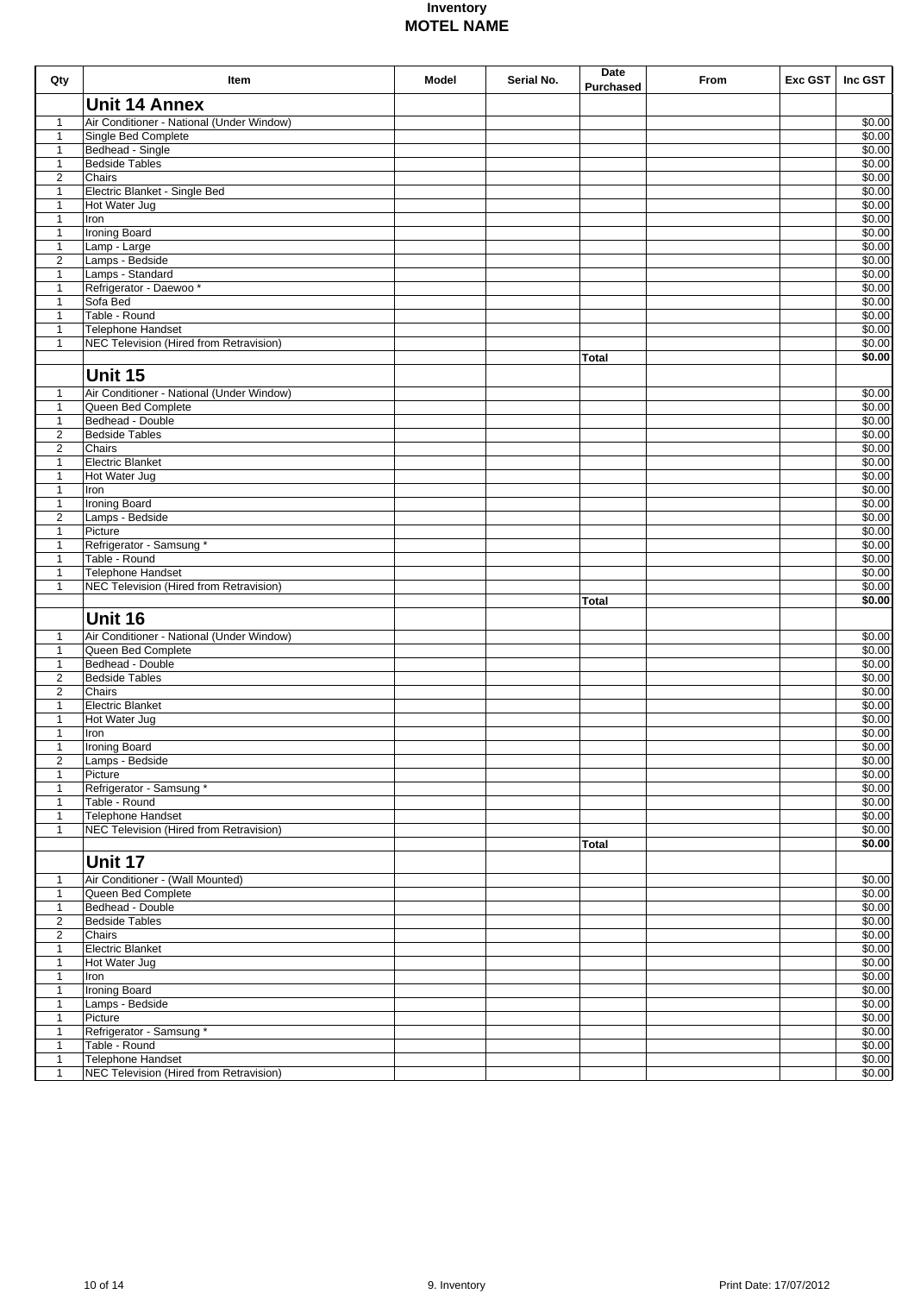| Qty                              | Item                                                                | Model | Serial No. | Date<br>Purchased | From | Exc GST | Inc GST          |
|----------------------------------|---------------------------------------------------------------------|-------|------------|-------------------|------|---------|------------------|
|                                  | <b>Unit 14 Annex</b>                                                |       |            |                   |      |         |                  |
| $\mathbf{1}$                     | Air Conditioner - National (Under Window)                           |       |            |                   |      |         | \$0.00           |
| $\mathbf{1}$                     | Single Bed Complete                                                 |       |            |                   |      |         | \$0.00           |
| $\mathbf{1}$<br>$\mathbf{1}$     | Bedhead - Single<br><b>Bedside Tables</b>                           |       |            |                   |      |         | \$0.00<br>\$0.00 |
| 2                                | Chairs                                                              |       |            |                   |      |         | \$0.00           |
| $\mathbf{1}$                     | Electric Blanket - Single Bed                                       |       |            |                   |      |         | \$0.00           |
| $\mathbf{1}$                     | Hot Water Jug                                                       |       |            |                   |      |         | \$0.00           |
| $\mathbf{1}$                     | Iron                                                                |       |            |                   |      |         | \$0.00           |
| $\mathbf{1}$                     | <b>Ironing Board</b>                                                |       |            |                   |      |         | \$0.00<br>\$0.00 |
| $\mathbf{1}$<br>2                | Lamp - Large<br>Lamps - Bedside                                     |       |            |                   |      |         | \$0.00           |
| $\mathbf{1}$                     | Lamps - Standard                                                    |       |            |                   |      |         | \$0.00           |
| $\mathbf{1}$                     | Refrigerator - Daewoo*                                              |       |            |                   |      |         | \$0.00           |
| $\mathbf{1}$                     | Sofa Bed                                                            |       |            |                   |      |         | \$0.00           |
| $\mathbf{1}$                     | Table - Round                                                       |       |            |                   |      |         | \$0.00           |
| $\mathbf{1}$<br>$\mathbf{1}$     | Telephone Handset<br>NEC Television (Hired from Retravision)        |       |            |                   |      |         | \$0.00<br>\$0.00 |
|                                  |                                                                     |       |            | <b>Total</b>      |      |         | \$0.00           |
|                                  | Unit 15                                                             |       |            |                   |      |         |                  |
| $\mathbf{1}$                     | Air Conditioner - National (Under Window)                           |       |            |                   |      |         | \$0.00           |
| $\mathbf{1}$                     | Queen Bed Complete                                                  |       |            |                   |      |         | \$0.00           |
| $\mathbf{1}$                     | Bedhead - Double                                                    |       |            |                   |      |         | \$0.00           |
| $\overline{2}$<br>$\overline{2}$ | <b>Bedside Tables</b><br>Chairs                                     |       |            |                   |      |         | \$0.00<br>\$0.00 |
| $\mathbf{1}$                     | <b>Electric Blanket</b>                                             |       |            |                   |      |         | \$0.00           |
| $\mathbf{1}$                     | Hot Water Jug                                                       |       |            |                   |      |         | \$0.00           |
| $\mathbf{1}$                     | Iron                                                                |       |            |                   |      |         | \$0.00           |
| $\mathbf{1}$                     | <b>Ironing Board</b>                                                |       |            |                   |      |         | \$0.00           |
| $\overline{2}$                   | Lamps - Bedside<br>Picture                                          |       |            |                   |      |         | \$0.00<br>\$0.00 |
| $\mathbf{1}$<br>$\mathbf{1}$     | Refrigerator - Samsung *                                            |       |            |                   |      |         | \$0.00           |
| $\mathbf{1}$                     | Table - Round                                                       |       |            |                   |      |         | \$0.00           |
| $\mathbf{1}$                     | <b>Telephone Handset</b>                                            |       |            |                   |      |         | \$0.00           |
| $\mathbf{1}$                     | <b>NEC Television (Hired from Retravision)</b>                      |       |            |                   |      |         | \$0.00           |
|                                  |                                                                     |       |            | <b>Total</b>      |      |         | \$0.00           |
|                                  | Unit 16                                                             |       |            |                   |      |         |                  |
| $\mathbf{1}$                     | Air Conditioner - National (Under Window)                           |       |            |                   |      |         | \$0.00           |
| $\mathbf{1}$<br>$\mathbf{1}$     | Queen Bed Complete<br>Bedhead - Double                              |       |            |                   |      |         | \$0.00<br>\$0.00 |
| $\overline{c}$                   | <b>Bedside Tables</b>                                               |       |            |                   |      |         | \$0.00           |
| $\overline{2}$                   | Chairs                                                              |       |            |                   |      |         | \$0.00           |
| 1                                | <b>Electric Blanket</b>                                             |       |            |                   |      |         | \$0.00           |
| 1                                | Hot Water Jug                                                       |       |            |                   |      |         | \$0.00           |
| $\mathbf{1}$<br>$\mathbf{1}$     | Iron                                                                |       |            |                   |      |         | \$0.00<br>\$0.00 |
| $\overline{c}$                   | <b>Ironing Board</b><br>Lamps - Bedside                             |       |            |                   |      |         | \$0.00           |
| $\mathbf{1}$                     | Picture                                                             |       |            |                   |      |         | \$0.00           |
| $\mathbf{1}$                     | Refrigerator - Samsung *                                            |       |            |                   |      |         | \$0.00           |
| $\mathbf{1}$                     | Table - Round                                                       |       |            |                   |      |         | \$0.00           |
| $\mathbf{1}$<br>$\mathbf{1}$     | <b>Telephone Handset</b><br>NEC Television (Hired from Retravision) |       |            |                   |      |         | \$0.00<br>\$0.00 |
|                                  |                                                                     |       |            | Total             |      |         | \$0.00           |
|                                  | Unit 17                                                             |       |            |                   |      |         |                  |
|                                  |                                                                     |       |            |                   |      |         | \$0.00           |
| $\mathbf{1}$<br>$\mathbf{1}$     | Air Conditioner - (Wall Mounted)<br>Queen Bed Complete              |       |            |                   |      |         | \$0.00           |
| $\mathbf{1}$                     | Bedhead - Double                                                    |       |            |                   |      |         | \$0.00           |
| $\overline{2}$                   | <b>Bedside Tables</b>                                               |       |            |                   |      |         | \$0.00           |
| $\overline{\mathbf{c}}$          | Chairs                                                              |       |            |                   |      |         | \$0.00           |
| $\mathbf{1}$                     | <b>Electric Blanket</b>                                             |       |            |                   |      |         | \$0.00<br>\$0.00 |
| $\mathbf{1}$<br>$\mathbf{1}$     | Hot Water Jug<br>Iron                                               |       |            |                   |      |         | \$0.00           |
| $\mathbf{1}$                     | <b>Ironing Board</b>                                                |       |            |                   |      |         | \$0.00           |
| $\mathbf{1}$                     | Lamps - Bedside                                                     |       |            |                   |      |         | \$0.00           |
| $\mathbf{1}$                     | Picture                                                             |       |            |                   |      |         | \$0.00           |
| $\mathbf{1}$                     | Refrigerator - Samsung *                                            |       |            |                   |      |         | \$0.00<br>\$0.00 |
| $\mathbf{1}$<br>$\mathbf{1}$     | Table - Round<br>Telephone Handset                                  |       |            |                   |      |         | \$0.00           |
| $\mathbf{1}$                     | NEC Television (Hired from Retravision)                             |       |            |                   |      |         | \$0.00           |
|                                  |                                                                     |       |            |                   |      |         |                  |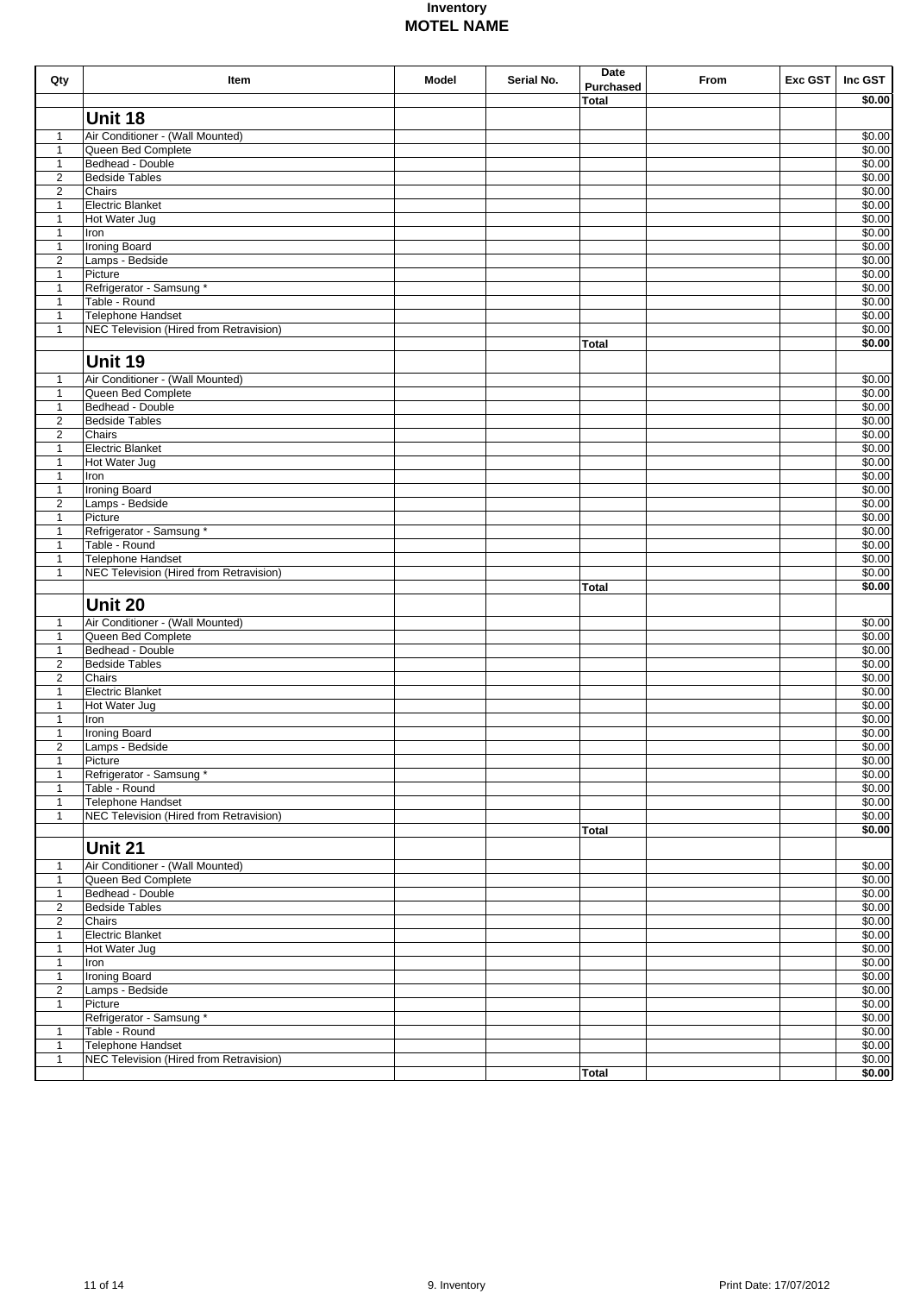| Qty                              | Item                                           | Model | Serial No. | Date<br><b>Purchased</b> | From | Exc GST | Inc GST          |
|----------------------------------|------------------------------------------------|-------|------------|--------------------------|------|---------|------------------|
|                                  |                                                |       |            | <b>Total</b>             |      |         | \$0.00           |
|                                  | Unit 18                                        |       |            |                          |      |         |                  |
| $\mathbf{1}$                     | Air Conditioner - (Wall Mounted)               |       |            |                          |      |         | \$0.00           |
| $\mathbf{1}$                     | Queen Bed Complete                             |       |            |                          |      |         | \$0.00           |
| $\mathbf{1}$                     | Bedhead - Double                               |       |            |                          |      |         | \$0.00           |
| $\mathbf{2}$                     | <b>Bedside Tables</b>                          |       |            |                          |      |         | \$0.00           |
| $\mathbf{2}$                     | Chairs                                         |       |            |                          |      |         | \$0.00           |
| $\mathbf{1}$<br>$\mathbf{1}$     | <b>Electric Blanket</b><br>Hot Water Jug       |       |            |                          |      |         | \$0.00<br>\$0.00 |
| $\mathbf{1}$                     | Iron                                           |       |            |                          |      |         | \$0.00           |
| $\mathbf{1}$                     | <b>Ironing Board</b>                           |       |            |                          |      |         | \$0.00           |
| $\mathbf{2}$                     | Lamps - Bedside                                |       |            |                          |      |         | \$0.00           |
| $\mathbf{1}$                     | Picture                                        |       |            |                          |      |         | \$0.00           |
| $\mathbf{1}$<br>$\mathbf{1}$     | Refrigerator - Samsung *<br>Table - Round      |       |            |                          |      |         | \$0.00<br>\$0.00 |
| $\mathbf{1}$                     | <b>Telephone Handset</b>                       |       |            |                          |      |         | \$0.00           |
| $\mathbf{1}$                     | NEC Television (Hired from Retravision)        |       |            |                          |      |         | \$0.00           |
|                                  |                                                |       |            | <b>Total</b>             |      |         | \$0.00           |
|                                  | Unit 19                                        |       |            |                          |      |         |                  |
| $\mathbf{1}$                     | Air Conditioner - (Wall Mounted)               |       |            |                          |      |         | \$0.00           |
| $\mathbf{1}$                     | Queen Bed Complete                             |       |            |                          |      |         | \$0.00           |
| $\mathbf{1}$                     | Bedhead - Double                               |       |            |                          |      |         | \$0.00           |
| $\overline{c}$                   | <b>Bedside Tables</b>                          |       |            |                          |      |         | \$0.00           |
| $\overline{2}$                   | Chairs<br><b>Electric Blanket</b>              |       |            |                          |      |         | \$0.00<br>\$0.00 |
| $\mathbf{1}$<br>$\mathbf{1}$     | Hot Water Jug                                  |       |            |                          |      |         | \$0.00           |
| $\mathbf{1}$                     | Iron                                           |       |            |                          |      |         | \$0.00           |
| $\mathbf{1}$                     | <b>Ironing Board</b>                           |       |            |                          |      |         | \$0.00           |
| $\overline{c}$                   | Lamps - Bedside                                |       |            |                          |      |         | \$0.00           |
| $\mathbf{1}$                     | Picture                                        |       |            |                          |      |         | \$0.00           |
| $\mathbf{1}$<br>$\mathbf{1}$     | Refrigerator - Samsung *<br>Table - Round      |       |            |                          |      |         | \$0.00<br>\$0.00 |
| $\mathbf{1}$                     | <b>Telephone Handset</b>                       |       |            |                          |      |         | \$0.00           |
| $\mathbf{1}$                     | <b>NEC Television (Hired from Retravision)</b> |       |            |                          |      |         | \$0.00           |
|                                  |                                                |       |            | <b>Total</b>             |      |         | \$0.00           |
|                                  | <b>Unit 20</b>                                 |       |            |                          |      |         |                  |
| $\mathbf{1}$                     | Air Conditioner - (Wall Mounted)               |       |            |                          |      |         | \$0.00           |
| $\mathbf{1}$                     | Queen Bed Complete                             |       |            |                          |      |         | \$0.00           |
| $\mathbf{1}$                     | Bedhead - Double                               |       |            |                          |      |         | \$0.00           |
| $\mathbf{2}$                     | <b>Bedside Tables</b>                          |       |            |                          |      |         | \$0.00           |
| $\mathbf{2}$<br>$\mathbf{1}$     | Chairs<br><b>Electric Blanket</b>              |       |            |                          |      |         | \$0.00<br>\$0.00 |
| $\mathbf{1}$                     | Hot Water Jug                                  |       |            |                          |      |         | \$0.00           |
| $\mathbf{1}$                     | Iron                                           |       |            |                          |      |         | \$0.00           |
| $\mathbf{1}$                     | <b>Ironing Board</b>                           |       |            |                          |      |         | \$0.00           |
| $\mathbf{2}$                     | Lamps - Bedside                                |       |            |                          |      |         | \$0.00           |
| $\mathbf{1}$<br>$\mathbf{1}$     | Picture                                        |       |            |                          |      |         | \$0.00<br>\$0.00 |
| $\mathbf{1}$                     | Refrigerator - Samsung *<br>Table - Round      |       |            |                          |      |         | \$0.00           |
| $\mathbf{1}$                     | Telephone Handset                              |       |            |                          |      |         | \$0.00           |
| $\mathbf{1}$                     | NEC Television (Hired from Retravision)        |       |            |                          |      |         | \$0.00           |
|                                  |                                                |       |            | <b>Total</b>             |      |         | \$0.00           |
|                                  | Unit 21                                        |       |            |                          |      |         |                  |
| 1                                | Air Conditioner - (Wall Mounted)               |       |            |                          |      |         | \$0.00           |
| $\mathbf{1}$                     | Queen Bed Complete                             |       |            |                          |      |         | \$0.00           |
| $\mathbf{1}$                     | Bedhead - Double                               |       |            |                          |      |         | \$0.00           |
| $\overline{2}$<br>$\overline{2}$ | <b>Bedside Tables</b><br>Chairs                |       |            |                          |      |         | \$0.00<br>\$0.00 |
| $\mathbf{1}$                     | <b>Electric Blanket</b>                        |       |            |                          |      |         | \$0.00           |
| $\mathbf{1}$                     | Hot Water Jug                                  |       |            |                          |      |         | \$0.00           |
| $\mathbf{1}$                     | Iron                                           |       |            |                          |      |         | \$0.00           |
| $\mathbf{1}$                     | <b>Ironing Board</b>                           |       |            |                          |      |         | \$0.00           |
| $\overline{2}$                   | Lamps - Bedside                                |       |            |                          |      |         | \$0.00           |
| $\mathbf{1}$                     | Picture<br>Refrigerator - Samsung *            |       |            |                          |      |         | \$0.00<br>\$0.00 |
| $\mathbf{1}$                     | Table - Round                                  |       |            |                          |      |         | \$0.00           |
| $\mathbf{1}$                     | <b>Telephone Handset</b>                       |       |            |                          |      |         | \$0.00           |
| $\mathbf{1}$                     | NEC Television (Hired from Retravision)        |       |            |                          |      |         | \$0.00           |
|                                  |                                                |       |            | <b>Total</b>             |      |         | \$0.00           |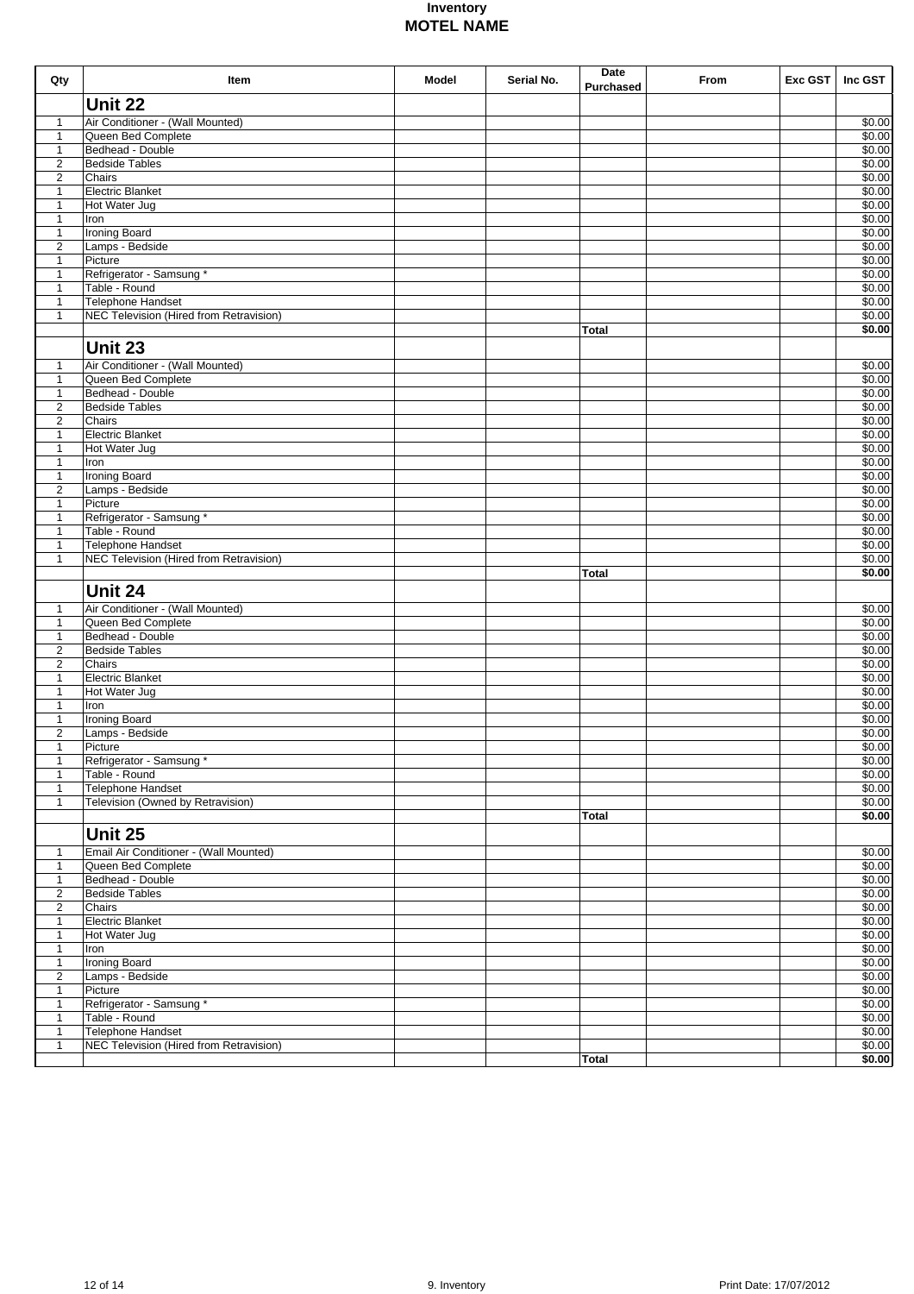| $\mathbf{1}$<br>$\mathbf{1}$<br>$\mathbf{1}$ | Unit 22<br>Air Conditioner - (Wall Mounted)                  |  |              |  |                                      |
|----------------------------------------------|--------------------------------------------------------------|--|--------------|--|--------------------------------------|
|                                              |                                                              |  |              |  |                                      |
|                                              |                                                              |  |              |  | \$0.00                               |
|                                              | Queen Bed Complete                                           |  |              |  | \$0.00                               |
|                                              | Bedhead - Double                                             |  |              |  | \$0.00                               |
| $\overline{2}$                               | <b>Bedside Tables</b>                                        |  |              |  | \$0.00                               |
| $\overline{2}$                               | Chairs                                                       |  |              |  | \$0.00                               |
| $\mathbf{1}$                                 | <b>Electric Blanket</b>                                      |  |              |  | \$0.00                               |
| $\mathbf{1}$                                 | Hot Water Jug                                                |  |              |  | \$0.00<br>\$0.00                     |
| $\mathbf{1}$<br>$\mathbf{1}$                 | Iron<br><b>Ironing Board</b>                                 |  |              |  | \$0.00                               |
| $\overline{2}$                               | Lamps - Bedside                                              |  |              |  | \$0.00                               |
| $\mathbf{1}$                                 | Picture                                                      |  |              |  | \$0.00                               |
| $\mathbf{1}$                                 | Refrigerator - Samsung *                                     |  |              |  | \$0.00                               |
| $\mathbf{1}$                                 | Table - Round                                                |  |              |  | \$0.00                               |
| $\mathbf{1}$                                 | Telephone Handset                                            |  |              |  | \$0.00                               |
| $\mathbf{1}$                                 | NEC Television (Hired from Retravision)                      |  |              |  | \$0.00                               |
|                                              |                                                              |  | <b>Total</b> |  | \$0.00                               |
|                                              | Unit 23                                                      |  |              |  |                                      |
| $\mathbf{1}$                                 | Air Conditioner - (Wall Mounted)                             |  |              |  | \$0.00                               |
| $\mathbf{1}$                                 | Queen Bed Complete                                           |  |              |  | \$0.00                               |
| $\mathbf{1}$                                 | Bedhead - Double                                             |  |              |  | \$0.00                               |
| $\overline{2}$                               | <b>Bedside Tables</b>                                        |  |              |  | \$0.00                               |
| $\overline{2}$                               | Chairs                                                       |  |              |  | \$0.00                               |
| $\mathbf{1}$                                 | <b>Electric Blanket</b>                                      |  |              |  | \$0.00                               |
| 1                                            | Hot Water Jug                                                |  |              |  | \$0.00                               |
| $\mathbf{1}$                                 | Iron                                                         |  |              |  | \$0.00                               |
| $\mathbf{1}$                                 | <b>Ironing Board</b>                                         |  |              |  | \$0.00                               |
| $\overline{2}$                               | Lamps - Bedside                                              |  |              |  | \$0.00                               |
| $\mathbf{1}$                                 | Picture<br>Refrigerator - Samsung *                          |  |              |  | \$0.00<br>\$0.00                     |
| 1<br>$\mathbf{1}$                            | Table - Round                                                |  |              |  | \$0.00                               |
| $\mathbf{1}$                                 | <b>Telephone Handset</b>                                     |  |              |  | \$0.00                               |
| $\mathbf{1}$                                 | NEC Television (Hired from Retravision)                      |  |              |  | \$0.00                               |
|                                              |                                                              |  | <b>Total</b> |  | \$0.00                               |
|                                              |                                                              |  |              |  |                                      |
|                                              | Unit 24                                                      |  |              |  |                                      |
| 1                                            | Air Conditioner - (Wall Mounted)                             |  |              |  | \$0.00                               |
| $\mathbf{1}$                                 | Queen Bed Complete                                           |  |              |  | \$0.00                               |
| $\mathbf{1}$                                 | Bedhead - Double                                             |  |              |  | \$0.00                               |
| $\overline{c}$                               | <b>Bedside Tables</b>                                        |  |              |  | \$0.00                               |
| $\overline{c}$                               | Chairs                                                       |  |              |  | \$0.00                               |
| 1                                            | <b>Electric Blanket</b>                                      |  |              |  | \$0.00                               |
| $\mathbf{1}$                                 | Hot Water Jug                                                |  |              |  | \$0.00                               |
| $\mathbf{1}$                                 | Iron                                                         |  |              |  | \$0.00                               |
| $\mathbf{1}$<br>$\overline{c}$               | <b>Ironing Board</b>                                         |  |              |  | \$0.00<br>\$0.00                     |
| 1                                            | Lamps - Bedside<br>Picture                                   |  |              |  | \$0.00                               |
| $\mathbf{1}$                                 | Refrigerator - Samsung *                                     |  |              |  | \$0.00                               |
| $\mathbf{1}$                                 | Table - Round                                                |  |              |  | \$0.00                               |
| $\mathbf{1}$                                 | Telephone Handset                                            |  |              |  | \$0.00                               |
| $\mathbf{1}$                                 | Television (Owned by Retravision)                            |  |              |  | \$0.00                               |
|                                              |                                                              |  | Total        |  | \$0.00                               |
|                                              |                                                              |  |              |  |                                      |
|                                              | <b>Unit 25</b>                                               |  |              |  |                                      |
| $\mathbf{1}$                                 | Email Air Conditioner - (Wall Mounted)                       |  |              |  | \$0.00                               |
| $\mathbf{1}$                                 | Queen Bed Complete                                           |  |              |  | \$0.00                               |
| $\mathbf{1}$                                 | Bedhead - Double                                             |  |              |  | \$0.00                               |
| 2                                            | <b>Bedside Tables</b>                                        |  |              |  | \$0.00                               |
| $\overline{2}$                               | Chairs                                                       |  |              |  | \$0.00                               |
| $\mathbf{1}$                                 | <b>Electric Blanket</b>                                      |  |              |  | \$0.00                               |
| $\mathbf{1}$                                 | Hot Water Jug                                                |  |              |  | \$0.00                               |
| $\mathbf{1}$                                 | Iron                                                         |  |              |  | \$0.00                               |
|                                              | <b>Ironing Board</b><br>Lamps - Bedside                      |  |              |  | \$0.00<br>\$0.00                     |
| $\mathbf{1}$                                 |                                                              |  |              |  | \$0.00                               |
| 2                                            |                                                              |  |              |  |                                      |
| $\mathbf{1}$                                 | Picture                                                      |  |              |  |                                      |
| $\mathbf{1}$                                 | Refrigerator - Samsung *                                     |  |              |  |                                      |
| $\mathbf{1}$                                 | Table - Round                                                |  |              |  |                                      |
| $\mathbf{1}$<br>$\mathbf{1}$                 | Telephone Handset<br>NEC Television (Hired from Retravision) |  |              |  | \$0.00<br>\$0.00<br>\$0.00<br>\$0.00 |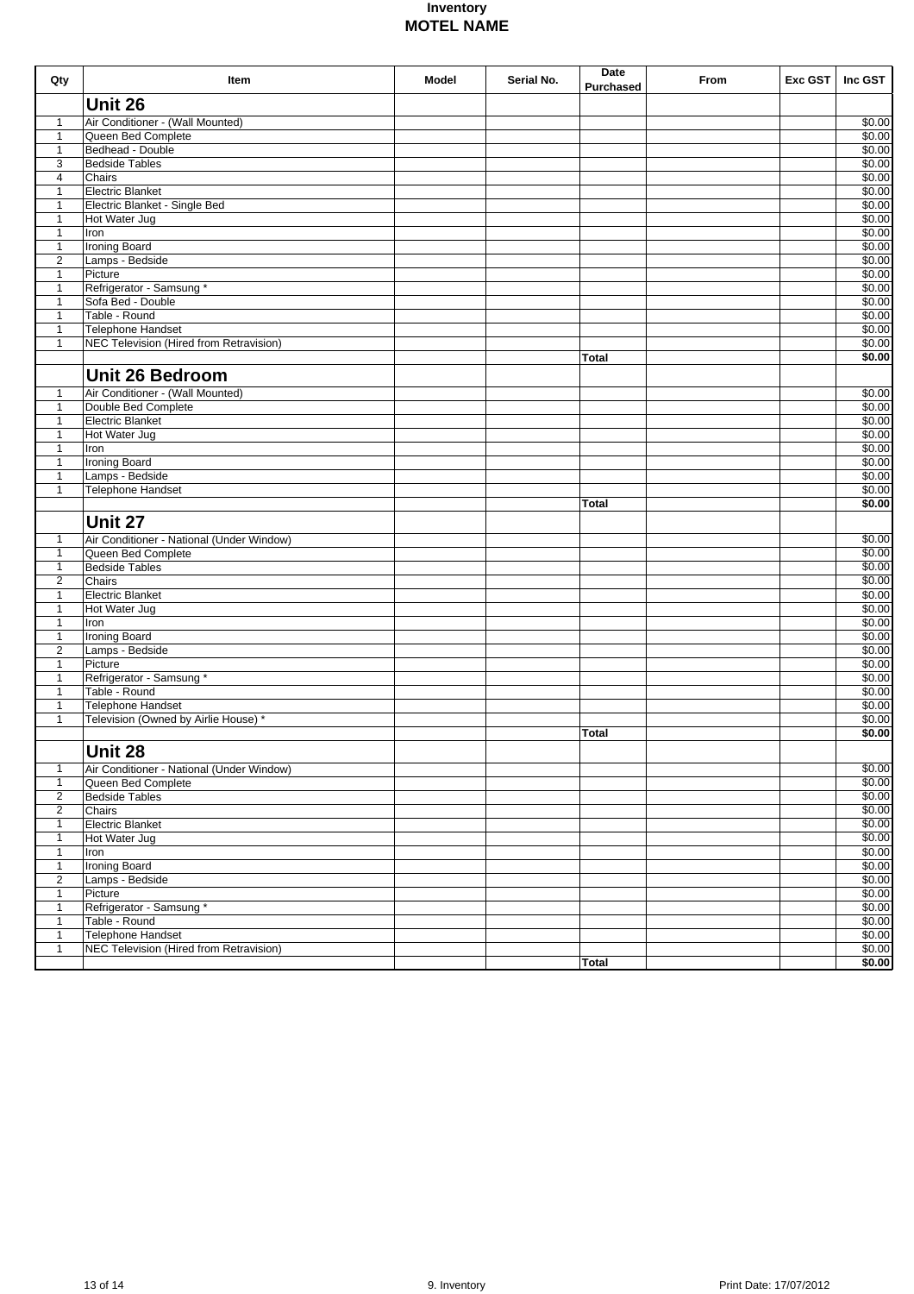| Qty                          | Item                                                     | Model | Serial No. | Date<br><b>Purchased</b> | From | Exc GST | Inc GST          |
|------------------------------|----------------------------------------------------------|-------|------------|--------------------------|------|---------|------------------|
|                              | Unit 26                                                  |       |            |                          |      |         |                  |
| 1                            | Air Conditioner - (Wall Mounted)                         |       |            |                          |      |         | \$0.00           |
| $\mathbf{1}$                 | Queen Bed Complete                                       |       |            |                          |      |         | \$0.00           |
| $\mathbf{1}$                 | Bedhead - Double                                         |       |            |                          |      |         | \$0.00           |
| 3                            | <b>Bedside Tables</b>                                    |       |            |                          |      |         | \$0.00           |
| $\overline{4}$               | Chairs                                                   |       |            |                          |      |         | \$0.00           |
| 1<br>1                       | <b>Electric Blanket</b><br>Electric Blanket - Single Bed |       |            |                          |      |         | \$0.00<br>\$0.00 |
| $\mathbf{1}$                 | Hot Water Jug                                            |       |            |                          |      |         | \$0.00           |
| $\mathbf{1}$                 | Iron                                                     |       |            |                          |      |         | \$0.00           |
| $\mathbf{1}$                 | <b>Ironing Board</b>                                     |       |            |                          |      |         | \$0.00           |
| $\overline{c}$               | Lamps - Bedside                                          |       |            |                          |      |         | \$0.00           |
| 1                            | Picture                                                  |       |            |                          |      |         | \$0.00           |
| 1                            | Refrigerator - Samsung *                                 |       |            |                          |      |         | \$0.00           |
| 1                            | Sofa Bed - Double<br>Table - Round                       |       |            |                          |      |         | \$0.00<br>\$0.00 |
| $\mathbf{1}$<br>$\mathbf{1}$ | Telephone Handset                                        |       |            |                          |      |         | \$0.00           |
| $\mathbf{1}$                 | NEC Television (Hired from Retravision)                  |       |            |                          |      |         | \$0.00           |
|                              |                                                          |       |            | <b>Total</b>             |      |         | \$0.00           |
|                              | Unit 26 Bedroom                                          |       |            |                          |      |         |                  |
| 1                            | Air Conditioner - (Wall Mounted)                         |       |            |                          |      |         | \$0.00           |
| $\mathbf{1}$                 | Double Bed Complete                                      |       |            |                          |      |         | \$0.00           |
| $\mathbf{1}$                 | <b>Electric Blanket</b>                                  |       |            |                          |      |         | \$0.00           |
| $\mathbf{1}$                 | Hot Water Jug                                            |       |            |                          |      |         | \$0.00           |
| $\mathbf{1}$                 | Iron                                                     |       |            |                          |      |         | \$0.00           |
| 1                            | <b>Ironing Board</b>                                     |       |            |                          |      |         | \$0.00           |
| $\mathbf{1}$                 | Lamps - Bedside                                          |       |            |                          |      |         | \$0.00           |
| $\mathbf{1}$                 | <b>Telephone Handset</b>                                 |       |            |                          |      |         | \$0.00           |
|                              |                                                          |       |            | <b>Total</b>             |      |         | \$0.00           |
|                              | Unit 27                                                  |       |            |                          |      |         |                  |
| 1                            | Air Conditioner - National (Under Window)                |       |            |                          |      |         | \$0.00           |
| $\mathbf{1}$<br>$\mathbf{1}$ | Queen Bed Complete<br><b>Bedside Tables</b>              |       |            |                          |      |         | \$0.00<br>\$0.00 |
| 2                            | Chairs                                                   |       |            |                          |      |         | \$0.00           |
| 1                            | <b>Electric Blanket</b>                                  |       |            |                          |      |         | \$0.00           |
| $\mathbf{1}$                 | Hot Water Jug                                            |       |            |                          |      |         | \$0.00           |
| $\mathbf{1}$                 | Iron                                                     |       |            |                          |      |         | \$0.00           |
| $\mathbf{1}$                 | <b>Ironing Board</b>                                     |       |            |                          |      |         | \$0.00           |
| $\overline{c}$               | Lamps - Bedside                                          |       |            |                          |      |         | \$0.00           |
| $\mathbf{1}$                 | Picture                                                  |       |            |                          |      |         | \$0.00           |
| $\mathbf{1}$<br>$\mathbf{1}$ | Refrigerator - Samsung *<br>Table - Round                |       |            |                          |      |         | \$0.00<br>\$0.00 |
| $\mathbf{1}$                 | Telephone Handset                                        |       |            |                          |      |         | \$0.00           |
| $\mathbf{1}$                 | Television (Owned by Airlie House) *                     |       |            |                          |      |         | \$0.00           |
|                              |                                                          |       |            | <b>Total</b>             |      |         | \$0.00           |
|                              | Unit 28                                                  |       |            |                          |      |         |                  |
| $\mathbf{1}$                 | Air Conditioner - National (Under Window)                |       |            |                          |      |         | \$0.00           |
| $\mathbf{1}$                 | Queen Bed Complete                                       |       |            |                          |      |         | \$0.00           |
| $\overline{2}$               | <b>Bedside Tables</b>                                    |       |            |                          |      |         | \$0.00           |
| $\overline{2}$               | Chairs                                                   |       |            |                          |      |         | \$0.00           |
| $\mathbf{1}$                 | <b>Electric Blanket</b>                                  |       |            |                          |      |         | \$0.00           |
| $\mathbf{1}$                 | Hot Water Jug                                            |       |            |                          |      |         | \$0.00<br>\$0.00 |
| $\mathbf{1}$<br>$\mathbf{1}$ | Iron<br><b>Ironing Board</b>                             |       |            |                          |      |         | \$0.00           |
| $\overline{a}$               | Lamps - Bedside                                          |       |            |                          |      |         | \$0.00           |
| $\mathbf{1}$                 | Picture                                                  |       |            |                          |      |         | \$0.00           |
| $\mathbf{1}$                 | Refrigerator - Samsung *                                 |       |            |                          |      |         | \$0.00           |
| $\mathbf{1}$                 | Table - Round                                            |       |            |                          |      |         | \$0.00           |
| $\mathbf{1}$                 | Telephone Handset                                        |       |            |                          |      |         | \$0.00           |
| $\mathbf{1}$                 | <b>NEC Television (Hired from Retravision)</b>           |       |            |                          |      |         | \$0.00<br>\$0.00 |
|                              |                                                          |       |            | Total                    |      |         |                  |